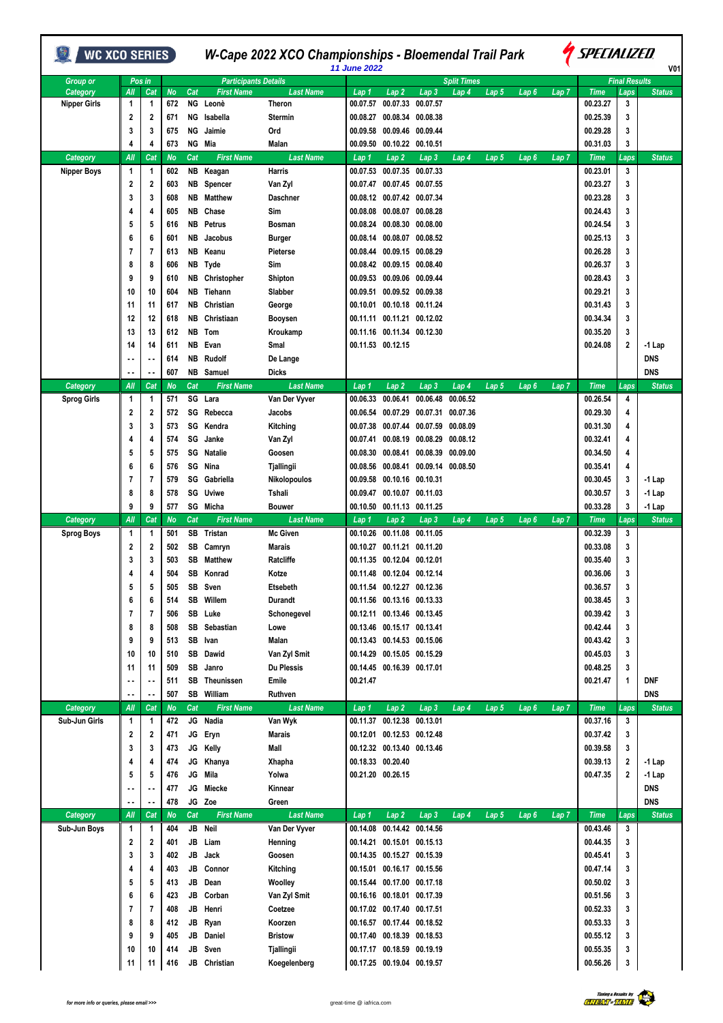| <b>Split Times</b><br><b>Final Results</b><br><b>Participants Details</b><br><b>Group or</b><br>Pos in<br><b>First Name</b><br>Lap <sub>7</sub><br>All<br><b>No</b><br>Cat<br><b>Last Name</b><br>Lap2<br>Lap <sub>3</sub><br>Lap <sub>5</sub><br>Lap6<br><b>Time</b><br>Category<br>Cat<br>Lap 1<br>Lap 4<br>Laps<br><b>Status</b><br>672<br>ΝG<br>Leonè<br>Theron<br>00.07.57<br>00.07.33<br>00.07.57<br>00.23.27<br>3<br><b>Nipper Girls</b><br>1<br>1<br>00.25.39<br>2<br>2<br>671<br>ΝG<br>Isabella<br>00.08.34<br>00.08.38<br>3<br><b>Stermin</b><br>00.08.27<br>3<br>Ord<br>00.09.46<br>00.09.44<br>00.29.28<br>3<br>675<br>ΝG<br>Jaimie<br>00.09.58<br>3<br>673<br>NG Mia<br><b>Malan</b><br>00.10.22 00.10.51<br>00.31.03<br>3<br>4<br>4<br>00.09.50<br>Cat<br><b>First Name</b><br>All<br>Cat<br><b>No</b><br><b>Last Name</b><br>Lap2<br>Lap <sub>3</sub><br>$Lap$ 5<br>Lap <sub>6</sub><br>Lap <sub>7</sub><br><b>Time</b><br><b>Status</b><br>Category<br>Lap 1<br>Lap 4<br>Laps<br>602<br>Harris<br>00.07.35<br>00.23.01<br>3<br><b>Nipper Boys</b><br>1<br>1<br>NB<br>Keagan<br>00.07.53<br>00.07.33<br>2<br>2<br>603<br>NB<br>Van Zyl<br>00.07.45 00.07.55<br>00.23.27<br>3<br>Spencer<br>00.07.47<br>3<br>3<br>NB<br>00.08.12 00.07.42 00.07.34<br>00.23.28<br>3<br>608<br>Matthew<br><b>Daschner</b><br>NB<br>Chase<br>Sim<br>00.08.07 00.08.28<br>00.24.43<br>3<br>4<br>605<br>00.08.08<br>4<br>5<br>5<br>NB<br>Petrus<br>00.08.30 00.08.00<br>00.24.54<br>3<br>616<br><b>Bosman</b><br>00.08.24<br>6<br>6<br>00.08.14 00.08.07 00.08.52<br>00.25.13<br>3<br>601<br>NB<br>Jacobus<br><b>Burger</b><br>7<br>613<br>NB<br>00.09.15 00.08.29<br>00.26.28<br>3<br>7<br>Keanu<br>Pieterse<br>00.08.44<br>00.26.37<br>8<br>606<br>NB Tyde<br>Sim<br>00.08.42 00.09.15 00.08.40<br>3<br>8<br>9<br>00.09.53 00.09.06 00.09.44<br>00.28.43<br>3<br>9<br>610<br>NB Christopher<br>Shipton<br>10<br>604<br>NB Tiehann<br>00.09.51 00.09.52 00.09.38<br>00.29.21<br>3<br>10<br>Slabber<br>00.31.43<br>11<br>NΒ<br>Christian<br>00.10.18 00.11.24<br>3<br>617<br>George<br>00.10.01<br>11<br>NΒ<br>Christiaan<br>00.11.11 00.11.21 00.12.02<br>00.34.34<br>3<br>12<br>12<br>618<br>Booysen<br>13<br>NB<br>00.11.16 00.11.34 00.12.30<br>00.35.20<br>3<br>13<br>612<br>Tom<br>Kroukamp<br>611<br>00.11.53 00.12.15<br>00.24.08<br>$\boldsymbol{2}$<br>14<br>NB<br>Evan<br>Smal<br>-1 Lap<br>14<br>614<br>NB<br>Rudolf<br><b>DNS</b><br>De Lange<br>$\ddot{\phantom{a}}$<br><b>DNS</b><br>607<br>NB Samuel<br><b>Dicks</b><br>$\sim$<br><b>Last Name</b><br>Cat<br><b>First Name</b><br>Lap <sub>7</sub><br><b>Time</b><br>Category<br>All<br>Cat<br>No<br>Lap 1<br>Lap <sub>2</sub><br>Lap <sub>3</sub><br>Lap 4<br>Lap 5<br>Lap 6<br>Laps<br><b>Status</b><br>00.26.54<br>SG Lara<br>Van Der Vyver<br>00.06.33<br>00.06.41<br>00.06.48<br>00.06.52<br>4<br><b>Sprog Girls</b><br>1<br>571<br>1<br>00.29.30<br>2<br>2<br>572<br>SG Rebecca<br>00.07.29<br>00.07.31 00.07.36<br>Jacobs<br>00.06.54<br>4<br>3<br>573<br>SG Kendra<br>00.07.59 00.08.09<br>00.31.30<br>3<br>Kitching<br>00.07.38<br>00.07.44<br>4<br>SG<br>574<br>Janke<br>00.08.19 00.08.29 00.08.12<br>00.32.41<br>4<br>Van Zyl<br>00.07.41<br>4<br>4<br>5<br>5<br>575<br>SG<br>00.08.39<br>00.09.00<br>00.34.50<br>Natalie<br>Goosen<br>00.08.30<br>00.08.41<br>4<br>SG Nina<br>00.09.14 00.08.50<br>00.35.41<br>6<br>576<br>Tjallingii<br>00.08.56<br>00.08.41<br>4<br>6<br>7<br>579<br>SG Gabriella<br>00.10.16 00.10.31<br>00.30.45<br>Nikolopoulos<br>00.09.58<br>3<br>-1 Lap<br>7<br>8<br>SG Uviwe<br>00.10.07<br>00.30.57<br>3<br>8<br>578<br>Tshali<br>00.09.47<br>00.11.03<br>-1 Lap<br>9<br>9<br>577<br>SG Micha<br>00.11.13 00.11.25<br>00.33.28<br>3<br>$-1$ Lap<br><b>Bouwer</b><br>00.10.50<br>All<br>Cat<br>No<br>Cat<br><b>First Name</b><br><b>Last Name</b><br>Category<br>Lap2<br>Lap <sub>3</sub><br>Lap 4<br>Lap 5<br>Lap 6<br>Lap 7<br><b>Time</b><br><b>Status</b><br>Lap 1<br>Laps<br>SB Tristan<br><b>Mc Given</b><br>00.10.26<br>00.11.08<br>00.11.05<br>00.32.39<br>3<br>Sprog Boys<br>1<br>501<br>1<br>2<br>2<br>SB<br>00.11.20<br>00.33.08<br>3<br>502<br><b>Marais</b><br>00.10.27<br>00.11.21<br>Camryn<br>3<br>3<br>SB<br>Ratcliffe<br>00.12.04<br>00.35.40<br>3<br>503<br>Matthew<br>00.12.01<br>00.11.35<br>00.36.06<br>3<br>4<br>4<br>504<br>SB Konrad<br>Kotze<br>00.11.48 00.12.04 00.12.14<br>5<br>5<br>SB<br>Sven<br>Etsebeth<br>00.11.54 00.12.27 00.12.36<br>00.36.57<br>3<br>505<br>6<br>6<br>514<br>SB<br>Willem<br>00.38.45<br>Durandt<br>00.11.56 00.13.16 00.13.33<br>3<br>$\overline{1}$<br>7<br>SB Luke<br>00.12.11 00.13.46 00.13.45<br>00.39.42<br>506<br>Schonegevel<br>3<br>SB Sebastian<br>00.13.46 00.15.17 00.13.41<br>00.42.44<br>8<br>8<br>508<br>3<br>Lowe<br>SB Ivan<br>00.13.43 00.14.53 00.15.06<br>00.43.42<br>9<br>9<br>513<br><b>Malan</b><br>3<br>SB Dawid<br>00.14.29 00.15.05 00.15.29<br>00.45.03<br>10<br>10<br>510<br>Van Zyl Smit<br>3<br>11<br>SB<br>Janro<br><b>Du Plessis</b><br>00.14.45 00.16.39 00.17.01<br>00.48.25<br>3<br>11<br>509<br>511<br>SB Theunissen<br>Emile<br>00.21.47<br>00.21.47<br><b>DNF</b><br>1<br>$\ddotsc$<br>507<br>SB William<br>Ruthven<br><b>DNS</b><br>$\ddotsc$<br>All<br>Cat<br><b>No</b><br>Cat<br><b>First Name</b><br><b>Last Name</b><br>Lap <sub>2</sub><br>Lap3<br>Lap 5<br><b>Time</b><br><b>Category</b><br>Lap 1<br>Lap 4<br>Lap <sub>6</sub><br>Lap <sub>7</sub><br>Laps<br>JG Nadia<br>00.12.38<br>Van Wyk<br>00.11.37<br>00.13.01<br>00.37.16<br>3<br>Sub-Jun Girls<br>1<br>$\mathbf{1}$<br>472<br>2<br>JG Eryn<br>00.12.01 00.12.53 00.12.48<br>00.37.42<br>2<br>471<br><b>Marais</b><br>3<br>3<br>3<br>JG Kelly<br>Mall<br>00.12.32 00.13.40 00.13.46<br>00.39.58<br>3<br>473<br>JG Khanya<br>00.18.33 00.20.40<br>00.39.13<br>4<br>474<br>Xhapha<br>$\overline{\mathbf{2}}$<br>4<br>$-1$ Lap<br>JG<br>Mila<br>00.21.20 00.26.15<br>00.47.35<br>5<br>5<br>476<br>Yolwa<br>$\overline{2}$<br>$-1$ Lap<br>JG<br>Miecke<br><b>DNS</b><br>Kinnear<br>477<br>$\ddot{\phantom{0}}$<br>478<br>JG Zoe<br><b>DNS</b><br>Green<br>Category<br>All<br><b>First Name</b><br><b>Last Name</b><br>$Lap$ 7<br><b>Time</b><br>Cat<br>No<br>Cat<br>Lap 1<br>Lap <sub>2</sub><br>Lap <sub>3</sub><br>Lap 4<br>Lap 5<br>Lap <sub>6</sub><br>Laps<br>JB Neil<br>00.43.46<br>$\mathbf{1}$<br>$\mathbf{1}$<br>Van Der Vyver<br>00.14.08<br>00.14.42 00.14.56<br>3<br>Sub-Jun Boys<br>404<br>JB<br>Liam<br>00.14.21 00.15.01 00.15.13<br>00.44.35<br>2<br>2<br>401<br>Henning<br>3<br>JB<br>3<br>3<br>402<br>Jack<br>Goosen<br>00.14.35 00.15.27 00.15.39<br>00.45.41<br>3<br>JB Connor<br>00.15.01 00.16.17 00.15.56<br>00.47.14<br>4<br>403<br>Kitching<br>3<br>4<br>5<br>JB<br>Dean<br>00.15.44 00.17.00 00.17.18<br>00.50.02<br>5<br>413<br>Woolley<br>3<br>6<br>JB<br>Corban<br>Van Zyl Smit<br>00.16.16 00.18.01 00.17.39<br>00.51.56<br>6<br>423<br>3<br>7<br>JB Henri<br>Coetzee<br>00.17.02 00.17.40 00.17.51<br>00.52.33<br>7<br>408<br>3<br>JB<br>00.16.57 00.17.44 00.18.52<br>00.53.33<br>8<br>8<br>412<br>Ryan<br>Koorzen<br>3<br>9<br>JB<br><b>Bristow</b><br>00.17.40 00.18.39 00.18.53<br>00.55.12<br>9<br>405<br>Daniel<br>3<br>JB<br>00.17.17 00.18.59 00.19.19<br>10<br>10<br>414<br>Sven<br>Tjallingii<br>00.55.35<br>3<br>JB<br>Christian<br>00.17.25 00.19.04 00.19.57<br>00.56.26<br>3<br>11<br>11<br>416<br>Koegelenberg | <b>WC XCO SERIES</b> |  |  | W-Cape 2022 XCO Championships - Bloemendal Trail Park | <b>11 June 2022</b> |  |  |  | <i><b>A SPECIALIZED</b></i> | V01           |
|-----------------------------------------------------------------------------------------------------------------------------------------------------------------------------------------------------------------------------------------------------------------------------------------------------------------------------------------------------------------------------------------------------------------------------------------------------------------------------------------------------------------------------------------------------------------------------------------------------------------------------------------------------------------------------------------------------------------------------------------------------------------------------------------------------------------------------------------------------------------------------------------------------------------------------------------------------------------------------------------------------------------------------------------------------------------------------------------------------------------------------------------------------------------------------------------------------------------------------------------------------------------------------------------------------------------------------------------------------------------------------------------------------------------------------------------------------------------------------------------------------------------------------------------------------------------------------------------------------------------------------------------------------------------------------------------------------------------------------------------------------------------------------------------------------------------------------------------------------------------------------------------------------------------------------------------------------------------------------------------------------------------------------------------------------------------------------------------------------------------------------------------------------------------------------------------------------------------------------------------------------------------------------------------------------------------------------------------------------------------------------------------------------------------------------------------------------------------------------------------------------------------------------------------------------------------------------------------------------------------------------------------------------------------------------------------------------------------------------------------------------------------------------------------------------------------------------------------------------------------------------------------------------------------------------------------------------------------------------------------------------------------------------------------------------------------------------------------------------------------------------------------------------------------------------------------------------------------------------------------------------------------------------------------------------------------------------------------------------------------------------------------------------------------------------------------------------------------------------------------------------------------------------------------------------------------------------------------------------------------------------------------------------------------------------------------------------------------------------------------------------------------------------------------------------------------------------------------------------------------------------------------------------------------------------------------------------------------------------------------------------------------------------------------------------------------------------------------------------------------------------------------------------------------------------------------------------------------------------------------------------------------------------------------------------------------------------------------------------------------------------------------------------------------------------------------------------------------------------------------------------------------------------------------------------------------------------------------------------------------------------------------------------------------------------------------------------------------------------------------------------------------------------------------------------------------------------------------------------------------------------------------------------------------------------------------------------------------------------------------------------------------------------------------------------------------------------------------------------------------------------------------------------------------------------------------------------------------------------------------------------------------------------------------------------------------------------------------------------------------------------------------------------------------------------------------------------------------------------------------------------------------------------------------------------------------------------------------------------------------------------------------------------------------------------------------------------------------------------------------------------------------------------------------------------------------------------------------------------------------------------------------------------------------------------------------------------------------------------------------------------------------------------------------------------------------------------------------------------------------------------------------------------------------------------------------------------------------------------------------------------------------------------------------------------------------------------------------------------------------------------------------------------------------------------------------------------------------------------------------------------------------------------------------------------------------------------------------------------------------------------------------------------------------------------------------------------------------------------------------------------------------------------------------------------------------------------------------------------------------------------------------------------------------------------------------------------------------------------------------------------------------------------------------------------------------------------------------------------------------------------------------------------------------------------------------------------------------------------------------------------------------------------------------------------------------------------------------------------------------------------------------------------------------------|----------------------|--|--|-------------------------------------------------------|---------------------|--|--|--|-----------------------------|---------------|
|                                                                                                                                                                                                                                                                                                                                                                                                                                                                                                                                                                                                                                                                                                                                                                                                                                                                                                                                                                                                                                                                                                                                                                                                                                                                                                                                                                                                                                                                                                                                                                                                                                                                                                                                                                                                                                                                                                                                                                                                                                                                                                                                                                                                                                                                                                                                                                                                                                                                                                                                                                                                                                                                                                                                                                                                                                                                                                                                                                                                                                                                                                                                                                                                                                                                                                                                                                                                                                                                                                                                                                                                                                                                                                                                                                                                                                                                                                                                                                                                                                                                                                                                                                                                                                                                                                                                                                                                                                                                                                                                                                                                                                                                                                                                                                                                                                                                                                                                                                                                                                                                                                                                                                                                                                                                                                                                                                                                                                                                                                                                                                                                                                                                                                                                                                                                                                                                                                                                                                                                                                                                                                                                                                                                                                                                                                                                                                                                                                                                                                                                                                                                                                                                                                                                                                                                                                                                                                                                                                                                                                                                                                                                                                                                                                                                                                                                                                                                                       |                      |  |  |                                                       |                     |  |  |  |                             |               |
|                                                                                                                                                                                                                                                                                                                                                                                                                                                                                                                                                                                                                                                                                                                                                                                                                                                                                                                                                                                                                                                                                                                                                                                                                                                                                                                                                                                                                                                                                                                                                                                                                                                                                                                                                                                                                                                                                                                                                                                                                                                                                                                                                                                                                                                                                                                                                                                                                                                                                                                                                                                                                                                                                                                                                                                                                                                                                                                                                                                                                                                                                                                                                                                                                                                                                                                                                                                                                                                                                                                                                                                                                                                                                                                                                                                                                                                                                                                                                                                                                                                                                                                                                                                                                                                                                                                                                                                                                                                                                                                                                                                                                                                                                                                                                                                                                                                                                                                                                                                                                                                                                                                                                                                                                                                                                                                                                                                                                                                                                                                                                                                                                                                                                                                                                                                                                                                                                                                                                                                                                                                                                                                                                                                                                                                                                                                                                                                                                                                                                                                                                                                                                                                                                                                                                                                                                                                                                                                                                                                                                                                                                                                                                                                                                                                                                                                                                                                                                       |                      |  |  |                                                       |                     |  |  |  |                             |               |
|                                                                                                                                                                                                                                                                                                                                                                                                                                                                                                                                                                                                                                                                                                                                                                                                                                                                                                                                                                                                                                                                                                                                                                                                                                                                                                                                                                                                                                                                                                                                                                                                                                                                                                                                                                                                                                                                                                                                                                                                                                                                                                                                                                                                                                                                                                                                                                                                                                                                                                                                                                                                                                                                                                                                                                                                                                                                                                                                                                                                                                                                                                                                                                                                                                                                                                                                                                                                                                                                                                                                                                                                                                                                                                                                                                                                                                                                                                                                                                                                                                                                                                                                                                                                                                                                                                                                                                                                                                                                                                                                                                                                                                                                                                                                                                                                                                                                                                                                                                                                                                                                                                                                                                                                                                                                                                                                                                                                                                                                                                                                                                                                                                                                                                                                                                                                                                                                                                                                                                                                                                                                                                                                                                                                                                                                                                                                                                                                                                                                                                                                                                                                                                                                                                                                                                                                                                                                                                                                                                                                                                                                                                                                                                                                                                                                                                                                                                                                                       |                      |  |  |                                                       |                     |  |  |  |                             |               |
|                                                                                                                                                                                                                                                                                                                                                                                                                                                                                                                                                                                                                                                                                                                                                                                                                                                                                                                                                                                                                                                                                                                                                                                                                                                                                                                                                                                                                                                                                                                                                                                                                                                                                                                                                                                                                                                                                                                                                                                                                                                                                                                                                                                                                                                                                                                                                                                                                                                                                                                                                                                                                                                                                                                                                                                                                                                                                                                                                                                                                                                                                                                                                                                                                                                                                                                                                                                                                                                                                                                                                                                                                                                                                                                                                                                                                                                                                                                                                                                                                                                                                                                                                                                                                                                                                                                                                                                                                                                                                                                                                                                                                                                                                                                                                                                                                                                                                                                                                                                                                                                                                                                                                                                                                                                                                                                                                                                                                                                                                                                                                                                                                                                                                                                                                                                                                                                                                                                                                                                                                                                                                                                                                                                                                                                                                                                                                                                                                                                                                                                                                                                                                                                                                                                                                                                                                                                                                                                                                                                                                                                                                                                                                                                                                                                                                                                                                                                                                       |                      |  |  |                                                       |                     |  |  |  |                             |               |
|                                                                                                                                                                                                                                                                                                                                                                                                                                                                                                                                                                                                                                                                                                                                                                                                                                                                                                                                                                                                                                                                                                                                                                                                                                                                                                                                                                                                                                                                                                                                                                                                                                                                                                                                                                                                                                                                                                                                                                                                                                                                                                                                                                                                                                                                                                                                                                                                                                                                                                                                                                                                                                                                                                                                                                                                                                                                                                                                                                                                                                                                                                                                                                                                                                                                                                                                                                                                                                                                                                                                                                                                                                                                                                                                                                                                                                                                                                                                                                                                                                                                                                                                                                                                                                                                                                                                                                                                                                                                                                                                                                                                                                                                                                                                                                                                                                                                                                                                                                                                                                                                                                                                                                                                                                                                                                                                                                                                                                                                                                                                                                                                                                                                                                                                                                                                                                                                                                                                                                                                                                                                                                                                                                                                                                                                                                                                                                                                                                                                                                                                                                                                                                                                                                                                                                                                                                                                                                                                                                                                                                                                                                                                                                                                                                                                                                                                                                                                                       |                      |  |  |                                                       |                     |  |  |  |                             |               |
|                                                                                                                                                                                                                                                                                                                                                                                                                                                                                                                                                                                                                                                                                                                                                                                                                                                                                                                                                                                                                                                                                                                                                                                                                                                                                                                                                                                                                                                                                                                                                                                                                                                                                                                                                                                                                                                                                                                                                                                                                                                                                                                                                                                                                                                                                                                                                                                                                                                                                                                                                                                                                                                                                                                                                                                                                                                                                                                                                                                                                                                                                                                                                                                                                                                                                                                                                                                                                                                                                                                                                                                                                                                                                                                                                                                                                                                                                                                                                                                                                                                                                                                                                                                                                                                                                                                                                                                                                                                                                                                                                                                                                                                                                                                                                                                                                                                                                                                                                                                                                                                                                                                                                                                                                                                                                                                                                                                                                                                                                                                                                                                                                                                                                                                                                                                                                                                                                                                                                                                                                                                                                                                                                                                                                                                                                                                                                                                                                                                                                                                                                                                                                                                                                                                                                                                                                                                                                                                                                                                                                                                                                                                                                                                                                                                                                                                                                                                                                       |                      |  |  |                                                       |                     |  |  |  |                             |               |
|                                                                                                                                                                                                                                                                                                                                                                                                                                                                                                                                                                                                                                                                                                                                                                                                                                                                                                                                                                                                                                                                                                                                                                                                                                                                                                                                                                                                                                                                                                                                                                                                                                                                                                                                                                                                                                                                                                                                                                                                                                                                                                                                                                                                                                                                                                                                                                                                                                                                                                                                                                                                                                                                                                                                                                                                                                                                                                                                                                                                                                                                                                                                                                                                                                                                                                                                                                                                                                                                                                                                                                                                                                                                                                                                                                                                                                                                                                                                                                                                                                                                                                                                                                                                                                                                                                                                                                                                                                                                                                                                                                                                                                                                                                                                                                                                                                                                                                                                                                                                                                                                                                                                                                                                                                                                                                                                                                                                                                                                                                                                                                                                                                                                                                                                                                                                                                                                                                                                                                                                                                                                                                                                                                                                                                                                                                                                                                                                                                                                                                                                                                                                                                                                                                                                                                                                                                                                                                                                                                                                                                                                                                                                                                                                                                                                                                                                                                                                                       |                      |  |  |                                                       |                     |  |  |  |                             |               |
|                                                                                                                                                                                                                                                                                                                                                                                                                                                                                                                                                                                                                                                                                                                                                                                                                                                                                                                                                                                                                                                                                                                                                                                                                                                                                                                                                                                                                                                                                                                                                                                                                                                                                                                                                                                                                                                                                                                                                                                                                                                                                                                                                                                                                                                                                                                                                                                                                                                                                                                                                                                                                                                                                                                                                                                                                                                                                                                                                                                                                                                                                                                                                                                                                                                                                                                                                                                                                                                                                                                                                                                                                                                                                                                                                                                                                                                                                                                                                                                                                                                                                                                                                                                                                                                                                                                                                                                                                                                                                                                                                                                                                                                                                                                                                                                                                                                                                                                                                                                                                                                                                                                                                                                                                                                                                                                                                                                                                                                                                                                                                                                                                                                                                                                                                                                                                                                                                                                                                                                                                                                                                                                                                                                                                                                                                                                                                                                                                                                                                                                                                                                                                                                                                                                                                                                                                                                                                                                                                                                                                                                                                                                                                                                                                                                                                                                                                                                                                       |                      |  |  |                                                       |                     |  |  |  |                             |               |
|                                                                                                                                                                                                                                                                                                                                                                                                                                                                                                                                                                                                                                                                                                                                                                                                                                                                                                                                                                                                                                                                                                                                                                                                                                                                                                                                                                                                                                                                                                                                                                                                                                                                                                                                                                                                                                                                                                                                                                                                                                                                                                                                                                                                                                                                                                                                                                                                                                                                                                                                                                                                                                                                                                                                                                                                                                                                                                                                                                                                                                                                                                                                                                                                                                                                                                                                                                                                                                                                                                                                                                                                                                                                                                                                                                                                                                                                                                                                                                                                                                                                                                                                                                                                                                                                                                                                                                                                                                                                                                                                                                                                                                                                                                                                                                                                                                                                                                                                                                                                                                                                                                                                                                                                                                                                                                                                                                                                                                                                                                                                                                                                                                                                                                                                                                                                                                                                                                                                                                                                                                                                                                                                                                                                                                                                                                                                                                                                                                                                                                                                                                                                                                                                                                                                                                                                                                                                                                                                                                                                                                                                                                                                                                                                                                                                                                                                                                                                                       |                      |  |  |                                                       |                     |  |  |  |                             |               |
|                                                                                                                                                                                                                                                                                                                                                                                                                                                                                                                                                                                                                                                                                                                                                                                                                                                                                                                                                                                                                                                                                                                                                                                                                                                                                                                                                                                                                                                                                                                                                                                                                                                                                                                                                                                                                                                                                                                                                                                                                                                                                                                                                                                                                                                                                                                                                                                                                                                                                                                                                                                                                                                                                                                                                                                                                                                                                                                                                                                                                                                                                                                                                                                                                                                                                                                                                                                                                                                                                                                                                                                                                                                                                                                                                                                                                                                                                                                                                                                                                                                                                                                                                                                                                                                                                                                                                                                                                                                                                                                                                                                                                                                                                                                                                                                                                                                                                                                                                                                                                                                                                                                                                                                                                                                                                                                                                                                                                                                                                                                                                                                                                                                                                                                                                                                                                                                                                                                                                                                                                                                                                                                                                                                                                                                                                                                                                                                                                                                                                                                                                                                                                                                                                                                                                                                                                                                                                                                                                                                                                                                                                                                                                                                                                                                                                                                                                                                                                       |                      |  |  |                                                       |                     |  |  |  |                             |               |
|                                                                                                                                                                                                                                                                                                                                                                                                                                                                                                                                                                                                                                                                                                                                                                                                                                                                                                                                                                                                                                                                                                                                                                                                                                                                                                                                                                                                                                                                                                                                                                                                                                                                                                                                                                                                                                                                                                                                                                                                                                                                                                                                                                                                                                                                                                                                                                                                                                                                                                                                                                                                                                                                                                                                                                                                                                                                                                                                                                                                                                                                                                                                                                                                                                                                                                                                                                                                                                                                                                                                                                                                                                                                                                                                                                                                                                                                                                                                                                                                                                                                                                                                                                                                                                                                                                                                                                                                                                                                                                                                                                                                                                                                                                                                                                                                                                                                                                                                                                                                                                                                                                                                                                                                                                                                                                                                                                                                                                                                                                                                                                                                                                                                                                                                                                                                                                                                                                                                                                                                                                                                                                                                                                                                                                                                                                                                                                                                                                                                                                                                                                                                                                                                                                                                                                                                                                                                                                                                                                                                                                                                                                                                                                                                                                                                                                                                                                                                                       |                      |  |  |                                                       |                     |  |  |  |                             |               |
|                                                                                                                                                                                                                                                                                                                                                                                                                                                                                                                                                                                                                                                                                                                                                                                                                                                                                                                                                                                                                                                                                                                                                                                                                                                                                                                                                                                                                                                                                                                                                                                                                                                                                                                                                                                                                                                                                                                                                                                                                                                                                                                                                                                                                                                                                                                                                                                                                                                                                                                                                                                                                                                                                                                                                                                                                                                                                                                                                                                                                                                                                                                                                                                                                                                                                                                                                                                                                                                                                                                                                                                                                                                                                                                                                                                                                                                                                                                                                                                                                                                                                                                                                                                                                                                                                                                                                                                                                                                                                                                                                                                                                                                                                                                                                                                                                                                                                                                                                                                                                                                                                                                                                                                                                                                                                                                                                                                                                                                                                                                                                                                                                                                                                                                                                                                                                                                                                                                                                                                                                                                                                                                                                                                                                                                                                                                                                                                                                                                                                                                                                                                                                                                                                                                                                                                                                                                                                                                                                                                                                                                                                                                                                                                                                                                                                                                                                                                                                       |                      |  |  |                                                       |                     |  |  |  |                             |               |
|                                                                                                                                                                                                                                                                                                                                                                                                                                                                                                                                                                                                                                                                                                                                                                                                                                                                                                                                                                                                                                                                                                                                                                                                                                                                                                                                                                                                                                                                                                                                                                                                                                                                                                                                                                                                                                                                                                                                                                                                                                                                                                                                                                                                                                                                                                                                                                                                                                                                                                                                                                                                                                                                                                                                                                                                                                                                                                                                                                                                                                                                                                                                                                                                                                                                                                                                                                                                                                                                                                                                                                                                                                                                                                                                                                                                                                                                                                                                                                                                                                                                                                                                                                                                                                                                                                                                                                                                                                                                                                                                                                                                                                                                                                                                                                                                                                                                                                                                                                                                                                                                                                                                                                                                                                                                                                                                                                                                                                                                                                                                                                                                                                                                                                                                                                                                                                                                                                                                                                                                                                                                                                                                                                                                                                                                                                                                                                                                                                                                                                                                                                                                                                                                                                                                                                                                                                                                                                                                                                                                                                                                                                                                                                                                                                                                                                                                                                                                                       |                      |  |  |                                                       |                     |  |  |  |                             |               |
|                                                                                                                                                                                                                                                                                                                                                                                                                                                                                                                                                                                                                                                                                                                                                                                                                                                                                                                                                                                                                                                                                                                                                                                                                                                                                                                                                                                                                                                                                                                                                                                                                                                                                                                                                                                                                                                                                                                                                                                                                                                                                                                                                                                                                                                                                                                                                                                                                                                                                                                                                                                                                                                                                                                                                                                                                                                                                                                                                                                                                                                                                                                                                                                                                                                                                                                                                                                                                                                                                                                                                                                                                                                                                                                                                                                                                                                                                                                                                                                                                                                                                                                                                                                                                                                                                                                                                                                                                                                                                                                                                                                                                                                                                                                                                                                                                                                                                                                                                                                                                                                                                                                                                                                                                                                                                                                                                                                                                                                                                                                                                                                                                                                                                                                                                                                                                                                                                                                                                                                                                                                                                                                                                                                                                                                                                                                                                                                                                                                                                                                                                                                                                                                                                                                                                                                                                                                                                                                                                                                                                                                                                                                                                                                                                                                                                                                                                                                                                       |                      |  |  |                                                       |                     |  |  |  |                             |               |
|                                                                                                                                                                                                                                                                                                                                                                                                                                                                                                                                                                                                                                                                                                                                                                                                                                                                                                                                                                                                                                                                                                                                                                                                                                                                                                                                                                                                                                                                                                                                                                                                                                                                                                                                                                                                                                                                                                                                                                                                                                                                                                                                                                                                                                                                                                                                                                                                                                                                                                                                                                                                                                                                                                                                                                                                                                                                                                                                                                                                                                                                                                                                                                                                                                                                                                                                                                                                                                                                                                                                                                                                                                                                                                                                                                                                                                                                                                                                                                                                                                                                                                                                                                                                                                                                                                                                                                                                                                                                                                                                                                                                                                                                                                                                                                                                                                                                                                                                                                                                                                                                                                                                                                                                                                                                                                                                                                                                                                                                                                                                                                                                                                                                                                                                                                                                                                                                                                                                                                                                                                                                                                                                                                                                                                                                                                                                                                                                                                                                                                                                                                                                                                                                                                                                                                                                                                                                                                                                                                                                                                                                                                                                                                                                                                                                                                                                                                                                                       |                      |  |  |                                                       |                     |  |  |  |                             |               |
|                                                                                                                                                                                                                                                                                                                                                                                                                                                                                                                                                                                                                                                                                                                                                                                                                                                                                                                                                                                                                                                                                                                                                                                                                                                                                                                                                                                                                                                                                                                                                                                                                                                                                                                                                                                                                                                                                                                                                                                                                                                                                                                                                                                                                                                                                                                                                                                                                                                                                                                                                                                                                                                                                                                                                                                                                                                                                                                                                                                                                                                                                                                                                                                                                                                                                                                                                                                                                                                                                                                                                                                                                                                                                                                                                                                                                                                                                                                                                                                                                                                                                                                                                                                                                                                                                                                                                                                                                                                                                                                                                                                                                                                                                                                                                                                                                                                                                                                                                                                                                                                                                                                                                                                                                                                                                                                                                                                                                                                                                                                                                                                                                                                                                                                                                                                                                                                                                                                                                                                                                                                                                                                                                                                                                                                                                                                                                                                                                                                                                                                                                                                                                                                                                                                                                                                                                                                                                                                                                                                                                                                                                                                                                                                                                                                                                                                                                                                                                       |                      |  |  |                                                       |                     |  |  |  |                             |               |
|                                                                                                                                                                                                                                                                                                                                                                                                                                                                                                                                                                                                                                                                                                                                                                                                                                                                                                                                                                                                                                                                                                                                                                                                                                                                                                                                                                                                                                                                                                                                                                                                                                                                                                                                                                                                                                                                                                                                                                                                                                                                                                                                                                                                                                                                                                                                                                                                                                                                                                                                                                                                                                                                                                                                                                                                                                                                                                                                                                                                                                                                                                                                                                                                                                                                                                                                                                                                                                                                                                                                                                                                                                                                                                                                                                                                                                                                                                                                                                                                                                                                                                                                                                                                                                                                                                                                                                                                                                                                                                                                                                                                                                                                                                                                                                                                                                                                                                                                                                                                                                                                                                                                                                                                                                                                                                                                                                                                                                                                                                                                                                                                                                                                                                                                                                                                                                                                                                                                                                                                                                                                                                                                                                                                                                                                                                                                                                                                                                                                                                                                                                                                                                                                                                                                                                                                                                                                                                                                                                                                                                                                                                                                                                                                                                                                                                                                                                                                                       |                      |  |  |                                                       |                     |  |  |  |                             |               |
|                                                                                                                                                                                                                                                                                                                                                                                                                                                                                                                                                                                                                                                                                                                                                                                                                                                                                                                                                                                                                                                                                                                                                                                                                                                                                                                                                                                                                                                                                                                                                                                                                                                                                                                                                                                                                                                                                                                                                                                                                                                                                                                                                                                                                                                                                                                                                                                                                                                                                                                                                                                                                                                                                                                                                                                                                                                                                                                                                                                                                                                                                                                                                                                                                                                                                                                                                                                                                                                                                                                                                                                                                                                                                                                                                                                                                                                                                                                                                                                                                                                                                                                                                                                                                                                                                                                                                                                                                                                                                                                                                                                                                                                                                                                                                                                                                                                                                                                                                                                                                                                                                                                                                                                                                                                                                                                                                                                                                                                                                                                                                                                                                                                                                                                                                                                                                                                                                                                                                                                                                                                                                                                                                                                                                                                                                                                                                                                                                                                                                                                                                                                                                                                                                                                                                                                                                                                                                                                                                                                                                                                                                                                                                                                                                                                                                                                                                                                                                       |                      |  |  |                                                       |                     |  |  |  |                             |               |
|                                                                                                                                                                                                                                                                                                                                                                                                                                                                                                                                                                                                                                                                                                                                                                                                                                                                                                                                                                                                                                                                                                                                                                                                                                                                                                                                                                                                                                                                                                                                                                                                                                                                                                                                                                                                                                                                                                                                                                                                                                                                                                                                                                                                                                                                                                                                                                                                                                                                                                                                                                                                                                                                                                                                                                                                                                                                                                                                                                                                                                                                                                                                                                                                                                                                                                                                                                                                                                                                                                                                                                                                                                                                                                                                                                                                                                                                                                                                                                                                                                                                                                                                                                                                                                                                                                                                                                                                                                                                                                                                                                                                                                                                                                                                                                                                                                                                                                                                                                                                                                                                                                                                                                                                                                                                                                                                                                                                                                                                                                                                                                                                                                                                                                                                                                                                                                                                                                                                                                                                                                                                                                                                                                                                                                                                                                                                                                                                                                                                                                                                                                                                                                                                                                                                                                                                                                                                                                                                                                                                                                                                                                                                                                                                                                                                                                                                                                                                                       |                      |  |  |                                                       |                     |  |  |  |                             |               |
|                                                                                                                                                                                                                                                                                                                                                                                                                                                                                                                                                                                                                                                                                                                                                                                                                                                                                                                                                                                                                                                                                                                                                                                                                                                                                                                                                                                                                                                                                                                                                                                                                                                                                                                                                                                                                                                                                                                                                                                                                                                                                                                                                                                                                                                                                                                                                                                                                                                                                                                                                                                                                                                                                                                                                                                                                                                                                                                                                                                                                                                                                                                                                                                                                                                                                                                                                                                                                                                                                                                                                                                                                                                                                                                                                                                                                                                                                                                                                                                                                                                                                                                                                                                                                                                                                                                                                                                                                                                                                                                                                                                                                                                                                                                                                                                                                                                                                                                                                                                                                                                                                                                                                                                                                                                                                                                                                                                                                                                                                                                                                                                                                                                                                                                                                                                                                                                                                                                                                                                                                                                                                                                                                                                                                                                                                                                                                                                                                                                                                                                                                                                                                                                                                                                                                                                                                                                                                                                                                                                                                                                                                                                                                                                                                                                                                                                                                                                                                       |                      |  |  |                                                       |                     |  |  |  |                             |               |
|                                                                                                                                                                                                                                                                                                                                                                                                                                                                                                                                                                                                                                                                                                                                                                                                                                                                                                                                                                                                                                                                                                                                                                                                                                                                                                                                                                                                                                                                                                                                                                                                                                                                                                                                                                                                                                                                                                                                                                                                                                                                                                                                                                                                                                                                                                                                                                                                                                                                                                                                                                                                                                                                                                                                                                                                                                                                                                                                                                                                                                                                                                                                                                                                                                                                                                                                                                                                                                                                                                                                                                                                                                                                                                                                                                                                                                                                                                                                                                                                                                                                                                                                                                                                                                                                                                                                                                                                                                                                                                                                                                                                                                                                                                                                                                                                                                                                                                                                                                                                                                                                                                                                                                                                                                                                                                                                                                                                                                                                                                                                                                                                                                                                                                                                                                                                                                                                                                                                                                                                                                                                                                                                                                                                                                                                                                                                                                                                                                                                                                                                                                                                                                                                                                                                                                                                                                                                                                                                                                                                                                                                                                                                                                                                                                                                                                                                                                                                                       |                      |  |  |                                                       |                     |  |  |  |                             |               |
|                                                                                                                                                                                                                                                                                                                                                                                                                                                                                                                                                                                                                                                                                                                                                                                                                                                                                                                                                                                                                                                                                                                                                                                                                                                                                                                                                                                                                                                                                                                                                                                                                                                                                                                                                                                                                                                                                                                                                                                                                                                                                                                                                                                                                                                                                                                                                                                                                                                                                                                                                                                                                                                                                                                                                                                                                                                                                                                                                                                                                                                                                                                                                                                                                                                                                                                                                                                                                                                                                                                                                                                                                                                                                                                                                                                                                                                                                                                                                                                                                                                                                                                                                                                                                                                                                                                                                                                                                                                                                                                                                                                                                                                                                                                                                                                                                                                                                                                                                                                                                                                                                                                                                                                                                                                                                                                                                                                                                                                                                                                                                                                                                                                                                                                                                                                                                                                                                                                                                                                                                                                                                                                                                                                                                                                                                                                                                                                                                                                                                                                                                                                                                                                                                                                                                                                                                                                                                                                                                                                                                                                                                                                                                                                                                                                                                                                                                                                                                       |                      |  |  |                                                       |                     |  |  |  |                             |               |
|                                                                                                                                                                                                                                                                                                                                                                                                                                                                                                                                                                                                                                                                                                                                                                                                                                                                                                                                                                                                                                                                                                                                                                                                                                                                                                                                                                                                                                                                                                                                                                                                                                                                                                                                                                                                                                                                                                                                                                                                                                                                                                                                                                                                                                                                                                                                                                                                                                                                                                                                                                                                                                                                                                                                                                                                                                                                                                                                                                                                                                                                                                                                                                                                                                                                                                                                                                                                                                                                                                                                                                                                                                                                                                                                                                                                                                                                                                                                                                                                                                                                                                                                                                                                                                                                                                                                                                                                                                                                                                                                                                                                                                                                                                                                                                                                                                                                                                                                                                                                                                                                                                                                                                                                                                                                                                                                                                                                                                                                                                                                                                                                                                                                                                                                                                                                                                                                                                                                                                                                                                                                                                                                                                                                                                                                                                                                                                                                                                                                                                                                                                                                                                                                                                                                                                                                                                                                                                                                                                                                                                                                                                                                                                                                                                                                                                                                                                                                                       |                      |  |  |                                                       |                     |  |  |  |                             |               |
|                                                                                                                                                                                                                                                                                                                                                                                                                                                                                                                                                                                                                                                                                                                                                                                                                                                                                                                                                                                                                                                                                                                                                                                                                                                                                                                                                                                                                                                                                                                                                                                                                                                                                                                                                                                                                                                                                                                                                                                                                                                                                                                                                                                                                                                                                                                                                                                                                                                                                                                                                                                                                                                                                                                                                                                                                                                                                                                                                                                                                                                                                                                                                                                                                                                                                                                                                                                                                                                                                                                                                                                                                                                                                                                                                                                                                                                                                                                                                                                                                                                                                                                                                                                                                                                                                                                                                                                                                                                                                                                                                                                                                                                                                                                                                                                                                                                                                                                                                                                                                                                                                                                                                                                                                                                                                                                                                                                                                                                                                                                                                                                                                                                                                                                                                                                                                                                                                                                                                                                                                                                                                                                                                                                                                                                                                                                                                                                                                                                                                                                                                                                                                                                                                                                                                                                                                                                                                                                                                                                                                                                                                                                                                                                                                                                                                                                                                                                                                       |                      |  |  |                                                       |                     |  |  |  |                             |               |
|                                                                                                                                                                                                                                                                                                                                                                                                                                                                                                                                                                                                                                                                                                                                                                                                                                                                                                                                                                                                                                                                                                                                                                                                                                                                                                                                                                                                                                                                                                                                                                                                                                                                                                                                                                                                                                                                                                                                                                                                                                                                                                                                                                                                                                                                                                                                                                                                                                                                                                                                                                                                                                                                                                                                                                                                                                                                                                                                                                                                                                                                                                                                                                                                                                                                                                                                                                                                                                                                                                                                                                                                                                                                                                                                                                                                                                                                                                                                                                                                                                                                                                                                                                                                                                                                                                                                                                                                                                                                                                                                                                                                                                                                                                                                                                                                                                                                                                                                                                                                                                                                                                                                                                                                                                                                                                                                                                                                                                                                                                                                                                                                                                                                                                                                                                                                                                                                                                                                                                                                                                                                                                                                                                                                                                                                                                                                                                                                                                                                                                                                                                                                                                                                                                                                                                                                                                                                                                                                                                                                                                                                                                                                                                                                                                                                                                                                                                                                                       |                      |  |  |                                                       |                     |  |  |  |                             |               |
|                                                                                                                                                                                                                                                                                                                                                                                                                                                                                                                                                                                                                                                                                                                                                                                                                                                                                                                                                                                                                                                                                                                                                                                                                                                                                                                                                                                                                                                                                                                                                                                                                                                                                                                                                                                                                                                                                                                                                                                                                                                                                                                                                                                                                                                                                                                                                                                                                                                                                                                                                                                                                                                                                                                                                                                                                                                                                                                                                                                                                                                                                                                                                                                                                                                                                                                                                                                                                                                                                                                                                                                                                                                                                                                                                                                                                                                                                                                                                                                                                                                                                                                                                                                                                                                                                                                                                                                                                                                                                                                                                                                                                                                                                                                                                                                                                                                                                                                                                                                                                                                                                                                                                                                                                                                                                                                                                                                                                                                                                                                                                                                                                                                                                                                                                                                                                                                                                                                                                                                                                                                                                                                                                                                                                                                                                                                                                                                                                                                                                                                                                                                                                                                                                                                                                                                                                                                                                                                                                                                                                                                                                                                                                                                                                                                                                                                                                                                                                       |                      |  |  |                                                       |                     |  |  |  |                             |               |
|                                                                                                                                                                                                                                                                                                                                                                                                                                                                                                                                                                                                                                                                                                                                                                                                                                                                                                                                                                                                                                                                                                                                                                                                                                                                                                                                                                                                                                                                                                                                                                                                                                                                                                                                                                                                                                                                                                                                                                                                                                                                                                                                                                                                                                                                                                                                                                                                                                                                                                                                                                                                                                                                                                                                                                                                                                                                                                                                                                                                                                                                                                                                                                                                                                                                                                                                                                                                                                                                                                                                                                                                                                                                                                                                                                                                                                                                                                                                                                                                                                                                                                                                                                                                                                                                                                                                                                                                                                                                                                                                                                                                                                                                                                                                                                                                                                                                                                                                                                                                                                                                                                                                                                                                                                                                                                                                                                                                                                                                                                                                                                                                                                                                                                                                                                                                                                                                                                                                                                                                                                                                                                                                                                                                                                                                                                                                                                                                                                                                                                                                                                                                                                                                                                                                                                                                                                                                                                                                                                                                                                                                                                                                                                                                                                                                                                                                                                                                                       |                      |  |  |                                                       |                     |  |  |  |                             |               |
|                                                                                                                                                                                                                                                                                                                                                                                                                                                                                                                                                                                                                                                                                                                                                                                                                                                                                                                                                                                                                                                                                                                                                                                                                                                                                                                                                                                                                                                                                                                                                                                                                                                                                                                                                                                                                                                                                                                                                                                                                                                                                                                                                                                                                                                                                                                                                                                                                                                                                                                                                                                                                                                                                                                                                                                                                                                                                                                                                                                                                                                                                                                                                                                                                                                                                                                                                                                                                                                                                                                                                                                                                                                                                                                                                                                                                                                                                                                                                                                                                                                                                                                                                                                                                                                                                                                                                                                                                                                                                                                                                                                                                                                                                                                                                                                                                                                                                                                                                                                                                                                                                                                                                                                                                                                                                                                                                                                                                                                                                                                                                                                                                                                                                                                                                                                                                                                                                                                                                                                                                                                                                                                                                                                                                                                                                                                                                                                                                                                                                                                                                                                                                                                                                                                                                                                                                                                                                                                                                                                                                                                                                                                                                                                                                                                                                                                                                                                                                       |                      |  |  |                                                       |                     |  |  |  |                             |               |
|                                                                                                                                                                                                                                                                                                                                                                                                                                                                                                                                                                                                                                                                                                                                                                                                                                                                                                                                                                                                                                                                                                                                                                                                                                                                                                                                                                                                                                                                                                                                                                                                                                                                                                                                                                                                                                                                                                                                                                                                                                                                                                                                                                                                                                                                                                                                                                                                                                                                                                                                                                                                                                                                                                                                                                                                                                                                                                                                                                                                                                                                                                                                                                                                                                                                                                                                                                                                                                                                                                                                                                                                                                                                                                                                                                                                                                                                                                                                                                                                                                                                                                                                                                                                                                                                                                                                                                                                                                                                                                                                                                                                                                                                                                                                                                                                                                                                                                                                                                                                                                                                                                                                                                                                                                                                                                                                                                                                                                                                                                                                                                                                                                                                                                                                                                                                                                                                                                                                                                                                                                                                                                                                                                                                                                                                                                                                                                                                                                                                                                                                                                                                                                                                                                                                                                                                                                                                                                                                                                                                                                                                                                                                                                                                                                                                                                                                                                                                                       |                      |  |  |                                                       |                     |  |  |  |                             |               |
|                                                                                                                                                                                                                                                                                                                                                                                                                                                                                                                                                                                                                                                                                                                                                                                                                                                                                                                                                                                                                                                                                                                                                                                                                                                                                                                                                                                                                                                                                                                                                                                                                                                                                                                                                                                                                                                                                                                                                                                                                                                                                                                                                                                                                                                                                                                                                                                                                                                                                                                                                                                                                                                                                                                                                                                                                                                                                                                                                                                                                                                                                                                                                                                                                                                                                                                                                                                                                                                                                                                                                                                                                                                                                                                                                                                                                                                                                                                                                                                                                                                                                                                                                                                                                                                                                                                                                                                                                                                                                                                                                                                                                                                                                                                                                                                                                                                                                                                                                                                                                                                                                                                                                                                                                                                                                                                                                                                                                                                                                                                                                                                                                                                                                                                                                                                                                                                                                                                                                                                                                                                                                                                                                                                                                                                                                                                                                                                                                                                                                                                                                                                                                                                                                                                                                                                                                                                                                                                                                                                                                                                                                                                                                                                                                                                                                                                                                                                                                       |                      |  |  |                                                       |                     |  |  |  |                             |               |
|                                                                                                                                                                                                                                                                                                                                                                                                                                                                                                                                                                                                                                                                                                                                                                                                                                                                                                                                                                                                                                                                                                                                                                                                                                                                                                                                                                                                                                                                                                                                                                                                                                                                                                                                                                                                                                                                                                                                                                                                                                                                                                                                                                                                                                                                                                                                                                                                                                                                                                                                                                                                                                                                                                                                                                                                                                                                                                                                                                                                                                                                                                                                                                                                                                                                                                                                                                                                                                                                                                                                                                                                                                                                                                                                                                                                                                                                                                                                                                                                                                                                                                                                                                                                                                                                                                                                                                                                                                                                                                                                                                                                                                                                                                                                                                                                                                                                                                                                                                                                                                                                                                                                                                                                                                                                                                                                                                                                                                                                                                                                                                                                                                                                                                                                                                                                                                                                                                                                                                                                                                                                                                                                                                                                                                                                                                                                                                                                                                                                                                                                                                                                                                                                                                                                                                                                                                                                                                                                                                                                                                                                                                                                                                                                                                                                                                                                                                                                                       |                      |  |  |                                                       |                     |  |  |  |                             |               |
|                                                                                                                                                                                                                                                                                                                                                                                                                                                                                                                                                                                                                                                                                                                                                                                                                                                                                                                                                                                                                                                                                                                                                                                                                                                                                                                                                                                                                                                                                                                                                                                                                                                                                                                                                                                                                                                                                                                                                                                                                                                                                                                                                                                                                                                                                                                                                                                                                                                                                                                                                                                                                                                                                                                                                                                                                                                                                                                                                                                                                                                                                                                                                                                                                                                                                                                                                                                                                                                                                                                                                                                                                                                                                                                                                                                                                                                                                                                                                                                                                                                                                                                                                                                                                                                                                                                                                                                                                                                                                                                                                                                                                                                                                                                                                                                                                                                                                                                                                                                                                                                                                                                                                                                                                                                                                                                                                                                                                                                                                                                                                                                                                                                                                                                                                                                                                                                                                                                                                                                                                                                                                                                                                                                                                                                                                                                                                                                                                                                                                                                                                                                                                                                                                                                                                                                                                                                                                                                                                                                                                                                                                                                                                                                                                                                                                                                                                                                                                       |                      |  |  |                                                       |                     |  |  |  |                             |               |
|                                                                                                                                                                                                                                                                                                                                                                                                                                                                                                                                                                                                                                                                                                                                                                                                                                                                                                                                                                                                                                                                                                                                                                                                                                                                                                                                                                                                                                                                                                                                                                                                                                                                                                                                                                                                                                                                                                                                                                                                                                                                                                                                                                                                                                                                                                                                                                                                                                                                                                                                                                                                                                                                                                                                                                                                                                                                                                                                                                                                                                                                                                                                                                                                                                                                                                                                                                                                                                                                                                                                                                                                                                                                                                                                                                                                                                                                                                                                                                                                                                                                                                                                                                                                                                                                                                                                                                                                                                                                                                                                                                                                                                                                                                                                                                                                                                                                                                                                                                                                                                                                                                                                                                                                                                                                                                                                                                                                                                                                                                                                                                                                                                                                                                                                                                                                                                                                                                                                                                                                                                                                                                                                                                                                                                                                                                                                                                                                                                                                                                                                                                                                                                                                                                                                                                                                                                                                                                                                                                                                                                                                                                                                                                                                                                                                                                                                                                                                                       |                      |  |  |                                                       |                     |  |  |  |                             |               |
|                                                                                                                                                                                                                                                                                                                                                                                                                                                                                                                                                                                                                                                                                                                                                                                                                                                                                                                                                                                                                                                                                                                                                                                                                                                                                                                                                                                                                                                                                                                                                                                                                                                                                                                                                                                                                                                                                                                                                                                                                                                                                                                                                                                                                                                                                                                                                                                                                                                                                                                                                                                                                                                                                                                                                                                                                                                                                                                                                                                                                                                                                                                                                                                                                                                                                                                                                                                                                                                                                                                                                                                                                                                                                                                                                                                                                                                                                                                                                                                                                                                                                                                                                                                                                                                                                                                                                                                                                                                                                                                                                                                                                                                                                                                                                                                                                                                                                                                                                                                                                                                                                                                                                                                                                                                                                                                                                                                                                                                                                                                                                                                                                                                                                                                                                                                                                                                                                                                                                                                                                                                                                                                                                                                                                                                                                                                                                                                                                                                                                                                                                                                                                                                                                                                                                                                                                                                                                                                                                                                                                                                                                                                                                                                                                                                                                                                                                                                                                       |                      |  |  |                                                       |                     |  |  |  |                             |               |
|                                                                                                                                                                                                                                                                                                                                                                                                                                                                                                                                                                                                                                                                                                                                                                                                                                                                                                                                                                                                                                                                                                                                                                                                                                                                                                                                                                                                                                                                                                                                                                                                                                                                                                                                                                                                                                                                                                                                                                                                                                                                                                                                                                                                                                                                                                                                                                                                                                                                                                                                                                                                                                                                                                                                                                                                                                                                                                                                                                                                                                                                                                                                                                                                                                                                                                                                                                                                                                                                                                                                                                                                                                                                                                                                                                                                                                                                                                                                                                                                                                                                                                                                                                                                                                                                                                                                                                                                                                                                                                                                                                                                                                                                                                                                                                                                                                                                                                                                                                                                                                                                                                                                                                                                                                                                                                                                                                                                                                                                                                                                                                                                                                                                                                                                                                                                                                                                                                                                                                                                                                                                                                                                                                                                                                                                                                                                                                                                                                                                                                                                                                                                                                                                                                                                                                                                                                                                                                                                                                                                                                                                                                                                                                                                                                                                                                                                                                                                                       |                      |  |  |                                                       |                     |  |  |  |                             |               |
|                                                                                                                                                                                                                                                                                                                                                                                                                                                                                                                                                                                                                                                                                                                                                                                                                                                                                                                                                                                                                                                                                                                                                                                                                                                                                                                                                                                                                                                                                                                                                                                                                                                                                                                                                                                                                                                                                                                                                                                                                                                                                                                                                                                                                                                                                                                                                                                                                                                                                                                                                                                                                                                                                                                                                                                                                                                                                                                                                                                                                                                                                                                                                                                                                                                                                                                                                                                                                                                                                                                                                                                                                                                                                                                                                                                                                                                                                                                                                                                                                                                                                                                                                                                                                                                                                                                                                                                                                                                                                                                                                                                                                                                                                                                                                                                                                                                                                                                                                                                                                                                                                                                                                                                                                                                                                                                                                                                                                                                                                                                                                                                                                                                                                                                                                                                                                                                                                                                                                                                                                                                                                                                                                                                                                                                                                                                                                                                                                                                                                                                                                                                                                                                                                                                                                                                                                                                                                                                                                                                                                                                                                                                                                                                                                                                                                                                                                                                                                       |                      |  |  |                                                       |                     |  |  |  |                             |               |
|                                                                                                                                                                                                                                                                                                                                                                                                                                                                                                                                                                                                                                                                                                                                                                                                                                                                                                                                                                                                                                                                                                                                                                                                                                                                                                                                                                                                                                                                                                                                                                                                                                                                                                                                                                                                                                                                                                                                                                                                                                                                                                                                                                                                                                                                                                                                                                                                                                                                                                                                                                                                                                                                                                                                                                                                                                                                                                                                                                                                                                                                                                                                                                                                                                                                                                                                                                                                                                                                                                                                                                                                                                                                                                                                                                                                                                                                                                                                                                                                                                                                                                                                                                                                                                                                                                                                                                                                                                                                                                                                                                                                                                                                                                                                                                                                                                                                                                                                                                                                                                                                                                                                                                                                                                                                                                                                                                                                                                                                                                                                                                                                                                                                                                                                                                                                                                                                                                                                                                                                                                                                                                                                                                                                                                                                                                                                                                                                                                                                                                                                                                                                                                                                                                                                                                                                                                                                                                                                                                                                                                                                                                                                                                                                                                                                                                                                                                                                                       |                      |  |  |                                                       |                     |  |  |  |                             |               |
|                                                                                                                                                                                                                                                                                                                                                                                                                                                                                                                                                                                                                                                                                                                                                                                                                                                                                                                                                                                                                                                                                                                                                                                                                                                                                                                                                                                                                                                                                                                                                                                                                                                                                                                                                                                                                                                                                                                                                                                                                                                                                                                                                                                                                                                                                                                                                                                                                                                                                                                                                                                                                                                                                                                                                                                                                                                                                                                                                                                                                                                                                                                                                                                                                                                                                                                                                                                                                                                                                                                                                                                                                                                                                                                                                                                                                                                                                                                                                                                                                                                                                                                                                                                                                                                                                                                                                                                                                                                                                                                                                                                                                                                                                                                                                                                                                                                                                                                                                                                                                                                                                                                                                                                                                                                                                                                                                                                                                                                                                                                                                                                                                                                                                                                                                                                                                                                                                                                                                                                                                                                                                                                                                                                                                                                                                                                                                                                                                                                                                                                                                                                                                                                                                                                                                                                                                                                                                                                                                                                                                                                                                                                                                                                                                                                                                                                                                                                                                       |                      |  |  |                                                       |                     |  |  |  |                             |               |
|                                                                                                                                                                                                                                                                                                                                                                                                                                                                                                                                                                                                                                                                                                                                                                                                                                                                                                                                                                                                                                                                                                                                                                                                                                                                                                                                                                                                                                                                                                                                                                                                                                                                                                                                                                                                                                                                                                                                                                                                                                                                                                                                                                                                                                                                                                                                                                                                                                                                                                                                                                                                                                                                                                                                                                                                                                                                                                                                                                                                                                                                                                                                                                                                                                                                                                                                                                                                                                                                                                                                                                                                                                                                                                                                                                                                                                                                                                                                                                                                                                                                                                                                                                                                                                                                                                                                                                                                                                                                                                                                                                                                                                                                                                                                                                                                                                                                                                                                                                                                                                                                                                                                                                                                                                                                                                                                                                                                                                                                                                                                                                                                                                                                                                                                                                                                                                                                                                                                                                                                                                                                                                                                                                                                                                                                                                                                                                                                                                                                                                                                                                                                                                                                                                                                                                                                                                                                                                                                                                                                                                                                                                                                                                                                                                                                                                                                                                                                                       |                      |  |  |                                                       |                     |  |  |  |                             |               |
|                                                                                                                                                                                                                                                                                                                                                                                                                                                                                                                                                                                                                                                                                                                                                                                                                                                                                                                                                                                                                                                                                                                                                                                                                                                                                                                                                                                                                                                                                                                                                                                                                                                                                                                                                                                                                                                                                                                                                                                                                                                                                                                                                                                                                                                                                                                                                                                                                                                                                                                                                                                                                                                                                                                                                                                                                                                                                                                                                                                                                                                                                                                                                                                                                                                                                                                                                                                                                                                                                                                                                                                                                                                                                                                                                                                                                                                                                                                                                                                                                                                                                                                                                                                                                                                                                                                                                                                                                                                                                                                                                                                                                                                                                                                                                                                                                                                                                                                                                                                                                                                                                                                                                                                                                                                                                                                                                                                                                                                                                                                                                                                                                                                                                                                                                                                                                                                                                                                                                                                                                                                                                                                                                                                                                                                                                                                                                                                                                                                                                                                                                                                                                                                                                                                                                                                                                                                                                                                                                                                                                                                                                                                                                                                                                                                                                                                                                                                                                       |                      |  |  |                                                       |                     |  |  |  |                             |               |
|                                                                                                                                                                                                                                                                                                                                                                                                                                                                                                                                                                                                                                                                                                                                                                                                                                                                                                                                                                                                                                                                                                                                                                                                                                                                                                                                                                                                                                                                                                                                                                                                                                                                                                                                                                                                                                                                                                                                                                                                                                                                                                                                                                                                                                                                                                                                                                                                                                                                                                                                                                                                                                                                                                                                                                                                                                                                                                                                                                                                                                                                                                                                                                                                                                                                                                                                                                                                                                                                                                                                                                                                                                                                                                                                                                                                                                                                                                                                                                                                                                                                                                                                                                                                                                                                                                                                                                                                                                                                                                                                                                                                                                                                                                                                                                                                                                                                                                                                                                                                                                                                                                                                                                                                                                                                                                                                                                                                                                                                                                                                                                                                                                                                                                                                                                                                                                                                                                                                                                                                                                                                                                                                                                                                                                                                                                                                                                                                                                                                                                                                                                                                                                                                                                                                                                                                                                                                                                                                                                                                                                                                                                                                                                                                                                                                                                                                                                                                                       |                      |  |  |                                                       |                     |  |  |  |                             |               |
|                                                                                                                                                                                                                                                                                                                                                                                                                                                                                                                                                                                                                                                                                                                                                                                                                                                                                                                                                                                                                                                                                                                                                                                                                                                                                                                                                                                                                                                                                                                                                                                                                                                                                                                                                                                                                                                                                                                                                                                                                                                                                                                                                                                                                                                                                                                                                                                                                                                                                                                                                                                                                                                                                                                                                                                                                                                                                                                                                                                                                                                                                                                                                                                                                                                                                                                                                                                                                                                                                                                                                                                                                                                                                                                                                                                                                                                                                                                                                                                                                                                                                                                                                                                                                                                                                                                                                                                                                                                                                                                                                                                                                                                                                                                                                                                                                                                                                                                                                                                                                                                                                                                                                                                                                                                                                                                                                                                                                                                                                                                                                                                                                                                                                                                                                                                                                                                                                                                                                                                                                                                                                                                                                                                                                                                                                                                                                                                                                                                                                                                                                                                                                                                                                                                                                                                                                                                                                                                                                                                                                                                                                                                                                                                                                                                                                                                                                                                                                       |                      |  |  |                                                       |                     |  |  |  |                             |               |
|                                                                                                                                                                                                                                                                                                                                                                                                                                                                                                                                                                                                                                                                                                                                                                                                                                                                                                                                                                                                                                                                                                                                                                                                                                                                                                                                                                                                                                                                                                                                                                                                                                                                                                                                                                                                                                                                                                                                                                                                                                                                                                                                                                                                                                                                                                                                                                                                                                                                                                                                                                                                                                                                                                                                                                                                                                                                                                                                                                                                                                                                                                                                                                                                                                                                                                                                                                                                                                                                                                                                                                                                                                                                                                                                                                                                                                                                                                                                                                                                                                                                                                                                                                                                                                                                                                                                                                                                                                                                                                                                                                                                                                                                                                                                                                                                                                                                                                                                                                                                                                                                                                                                                                                                                                                                                                                                                                                                                                                                                                                                                                                                                                                                                                                                                                                                                                                                                                                                                                                                                                                                                                                                                                                                                                                                                                                                                                                                                                                                                                                                                                                                                                                                                                                                                                                                                                                                                                                                                                                                                                                                                                                                                                                                                                                                                                                                                                                                                       |                      |  |  |                                                       |                     |  |  |  |                             |               |
|                                                                                                                                                                                                                                                                                                                                                                                                                                                                                                                                                                                                                                                                                                                                                                                                                                                                                                                                                                                                                                                                                                                                                                                                                                                                                                                                                                                                                                                                                                                                                                                                                                                                                                                                                                                                                                                                                                                                                                                                                                                                                                                                                                                                                                                                                                                                                                                                                                                                                                                                                                                                                                                                                                                                                                                                                                                                                                                                                                                                                                                                                                                                                                                                                                                                                                                                                                                                                                                                                                                                                                                                                                                                                                                                                                                                                                                                                                                                                                                                                                                                                                                                                                                                                                                                                                                                                                                                                                                                                                                                                                                                                                                                                                                                                                                                                                                                                                                                                                                                                                                                                                                                                                                                                                                                                                                                                                                                                                                                                                                                                                                                                                                                                                                                                                                                                                                                                                                                                                                                                                                                                                                                                                                                                                                                                                                                                                                                                                                                                                                                                                                                                                                                                                                                                                                                                                                                                                                                                                                                                                                                                                                                                                                                                                                                                                                                                                                                                       |                      |  |  |                                                       |                     |  |  |  |                             |               |
|                                                                                                                                                                                                                                                                                                                                                                                                                                                                                                                                                                                                                                                                                                                                                                                                                                                                                                                                                                                                                                                                                                                                                                                                                                                                                                                                                                                                                                                                                                                                                                                                                                                                                                                                                                                                                                                                                                                                                                                                                                                                                                                                                                                                                                                                                                                                                                                                                                                                                                                                                                                                                                                                                                                                                                                                                                                                                                                                                                                                                                                                                                                                                                                                                                                                                                                                                                                                                                                                                                                                                                                                                                                                                                                                                                                                                                                                                                                                                                                                                                                                                                                                                                                                                                                                                                                                                                                                                                                                                                                                                                                                                                                                                                                                                                                                                                                                                                                                                                                                                                                                                                                                                                                                                                                                                                                                                                                                                                                                                                                                                                                                                                                                                                                                                                                                                                                                                                                                                                                                                                                                                                                                                                                                                                                                                                                                                                                                                                                                                                                                                                                                                                                                                                                                                                                                                                                                                                                                                                                                                                                                                                                                                                                                                                                                                                                                                                                                                       |                      |  |  |                                                       |                     |  |  |  |                             |               |
|                                                                                                                                                                                                                                                                                                                                                                                                                                                                                                                                                                                                                                                                                                                                                                                                                                                                                                                                                                                                                                                                                                                                                                                                                                                                                                                                                                                                                                                                                                                                                                                                                                                                                                                                                                                                                                                                                                                                                                                                                                                                                                                                                                                                                                                                                                                                                                                                                                                                                                                                                                                                                                                                                                                                                                                                                                                                                                                                                                                                                                                                                                                                                                                                                                                                                                                                                                                                                                                                                                                                                                                                                                                                                                                                                                                                                                                                                                                                                                                                                                                                                                                                                                                                                                                                                                                                                                                                                                                                                                                                                                                                                                                                                                                                                                                                                                                                                                                                                                                                                                                                                                                                                                                                                                                                                                                                                                                                                                                                                                                                                                                                                                                                                                                                                                                                                                                                                                                                                                                                                                                                                                                                                                                                                                                                                                                                                                                                                                                                                                                                                                                                                                                                                                                                                                                                                                                                                                                                                                                                                                                                                                                                                                                                                                                                                                                                                                                                                       |                      |  |  |                                                       |                     |  |  |  |                             |               |
|                                                                                                                                                                                                                                                                                                                                                                                                                                                                                                                                                                                                                                                                                                                                                                                                                                                                                                                                                                                                                                                                                                                                                                                                                                                                                                                                                                                                                                                                                                                                                                                                                                                                                                                                                                                                                                                                                                                                                                                                                                                                                                                                                                                                                                                                                                                                                                                                                                                                                                                                                                                                                                                                                                                                                                                                                                                                                                                                                                                                                                                                                                                                                                                                                                                                                                                                                                                                                                                                                                                                                                                                                                                                                                                                                                                                                                                                                                                                                                                                                                                                                                                                                                                                                                                                                                                                                                                                                                                                                                                                                                                                                                                                                                                                                                                                                                                                                                                                                                                                                                                                                                                                                                                                                                                                                                                                                                                                                                                                                                                                                                                                                                                                                                                                                                                                                                                                                                                                                                                                                                                                                                                                                                                                                                                                                                                                                                                                                                                                                                                                                                                                                                                                                                                                                                                                                                                                                                                                                                                                                                                                                                                                                                                                                                                                                                                                                                                                                       |                      |  |  |                                                       |                     |  |  |  |                             |               |
|                                                                                                                                                                                                                                                                                                                                                                                                                                                                                                                                                                                                                                                                                                                                                                                                                                                                                                                                                                                                                                                                                                                                                                                                                                                                                                                                                                                                                                                                                                                                                                                                                                                                                                                                                                                                                                                                                                                                                                                                                                                                                                                                                                                                                                                                                                                                                                                                                                                                                                                                                                                                                                                                                                                                                                                                                                                                                                                                                                                                                                                                                                                                                                                                                                                                                                                                                                                                                                                                                                                                                                                                                                                                                                                                                                                                                                                                                                                                                                                                                                                                                                                                                                                                                                                                                                                                                                                                                                                                                                                                                                                                                                                                                                                                                                                                                                                                                                                                                                                                                                                                                                                                                                                                                                                                                                                                                                                                                                                                                                                                                                                                                                                                                                                                                                                                                                                                                                                                                                                                                                                                                                                                                                                                                                                                                                                                                                                                                                                                                                                                                                                                                                                                                                                                                                                                                                                                                                                                                                                                                                                                                                                                                                                                                                                                                                                                                                                                                       |                      |  |  |                                                       |                     |  |  |  |                             |               |
|                                                                                                                                                                                                                                                                                                                                                                                                                                                                                                                                                                                                                                                                                                                                                                                                                                                                                                                                                                                                                                                                                                                                                                                                                                                                                                                                                                                                                                                                                                                                                                                                                                                                                                                                                                                                                                                                                                                                                                                                                                                                                                                                                                                                                                                                                                                                                                                                                                                                                                                                                                                                                                                                                                                                                                                                                                                                                                                                                                                                                                                                                                                                                                                                                                                                                                                                                                                                                                                                                                                                                                                                                                                                                                                                                                                                                                                                                                                                                                                                                                                                                                                                                                                                                                                                                                                                                                                                                                                                                                                                                                                                                                                                                                                                                                                                                                                                                                                                                                                                                                                                                                                                                                                                                                                                                                                                                                                                                                                                                                                                                                                                                                                                                                                                                                                                                                                                                                                                                                                                                                                                                                                                                                                                                                                                                                                                                                                                                                                                                                                                                                                                                                                                                                                                                                                                                                                                                                                                                                                                                                                                                                                                                                                                                                                                                                                                                                                                                       |                      |  |  |                                                       |                     |  |  |  |                             | <b>Status</b> |
|                                                                                                                                                                                                                                                                                                                                                                                                                                                                                                                                                                                                                                                                                                                                                                                                                                                                                                                                                                                                                                                                                                                                                                                                                                                                                                                                                                                                                                                                                                                                                                                                                                                                                                                                                                                                                                                                                                                                                                                                                                                                                                                                                                                                                                                                                                                                                                                                                                                                                                                                                                                                                                                                                                                                                                                                                                                                                                                                                                                                                                                                                                                                                                                                                                                                                                                                                                                                                                                                                                                                                                                                                                                                                                                                                                                                                                                                                                                                                                                                                                                                                                                                                                                                                                                                                                                                                                                                                                                                                                                                                                                                                                                                                                                                                                                                                                                                                                                                                                                                                                                                                                                                                                                                                                                                                                                                                                                                                                                                                                                                                                                                                                                                                                                                                                                                                                                                                                                                                                                                                                                                                                                                                                                                                                                                                                                                                                                                                                                                                                                                                                                                                                                                                                                                                                                                                                                                                                                                                                                                                                                                                                                                                                                                                                                                                                                                                                                                                       |                      |  |  |                                                       |                     |  |  |  |                             |               |
|                                                                                                                                                                                                                                                                                                                                                                                                                                                                                                                                                                                                                                                                                                                                                                                                                                                                                                                                                                                                                                                                                                                                                                                                                                                                                                                                                                                                                                                                                                                                                                                                                                                                                                                                                                                                                                                                                                                                                                                                                                                                                                                                                                                                                                                                                                                                                                                                                                                                                                                                                                                                                                                                                                                                                                                                                                                                                                                                                                                                                                                                                                                                                                                                                                                                                                                                                                                                                                                                                                                                                                                                                                                                                                                                                                                                                                                                                                                                                                                                                                                                                                                                                                                                                                                                                                                                                                                                                                                                                                                                                                                                                                                                                                                                                                                                                                                                                                                                                                                                                                                                                                                                                                                                                                                                                                                                                                                                                                                                                                                                                                                                                                                                                                                                                                                                                                                                                                                                                                                                                                                                                                                                                                                                                                                                                                                                                                                                                                                                                                                                                                                                                                                                                                                                                                                                                                                                                                                                                                                                                                                                                                                                                                                                                                                                                                                                                                                                                       |                      |  |  |                                                       |                     |  |  |  |                             |               |
|                                                                                                                                                                                                                                                                                                                                                                                                                                                                                                                                                                                                                                                                                                                                                                                                                                                                                                                                                                                                                                                                                                                                                                                                                                                                                                                                                                                                                                                                                                                                                                                                                                                                                                                                                                                                                                                                                                                                                                                                                                                                                                                                                                                                                                                                                                                                                                                                                                                                                                                                                                                                                                                                                                                                                                                                                                                                                                                                                                                                                                                                                                                                                                                                                                                                                                                                                                                                                                                                                                                                                                                                                                                                                                                                                                                                                                                                                                                                                                                                                                                                                                                                                                                                                                                                                                                                                                                                                                                                                                                                                                                                                                                                                                                                                                                                                                                                                                                                                                                                                                                                                                                                                                                                                                                                                                                                                                                                                                                                                                                                                                                                                                                                                                                                                                                                                                                                                                                                                                                                                                                                                                                                                                                                                                                                                                                                                                                                                                                                                                                                                                                                                                                                                                                                                                                                                                                                                                                                                                                                                                                                                                                                                                                                                                                                                                                                                                                                                       |                      |  |  |                                                       |                     |  |  |  |                             |               |
|                                                                                                                                                                                                                                                                                                                                                                                                                                                                                                                                                                                                                                                                                                                                                                                                                                                                                                                                                                                                                                                                                                                                                                                                                                                                                                                                                                                                                                                                                                                                                                                                                                                                                                                                                                                                                                                                                                                                                                                                                                                                                                                                                                                                                                                                                                                                                                                                                                                                                                                                                                                                                                                                                                                                                                                                                                                                                                                                                                                                                                                                                                                                                                                                                                                                                                                                                                                                                                                                                                                                                                                                                                                                                                                                                                                                                                                                                                                                                                                                                                                                                                                                                                                                                                                                                                                                                                                                                                                                                                                                                                                                                                                                                                                                                                                                                                                                                                                                                                                                                                                                                                                                                                                                                                                                                                                                                                                                                                                                                                                                                                                                                                                                                                                                                                                                                                                                                                                                                                                                                                                                                                                                                                                                                                                                                                                                                                                                                                                                                                                                                                                                                                                                                                                                                                                                                                                                                                                                                                                                                                                                                                                                                                                                                                                                                                                                                                                                                       |                      |  |  |                                                       |                     |  |  |  |                             |               |
|                                                                                                                                                                                                                                                                                                                                                                                                                                                                                                                                                                                                                                                                                                                                                                                                                                                                                                                                                                                                                                                                                                                                                                                                                                                                                                                                                                                                                                                                                                                                                                                                                                                                                                                                                                                                                                                                                                                                                                                                                                                                                                                                                                                                                                                                                                                                                                                                                                                                                                                                                                                                                                                                                                                                                                                                                                                                                                                                                                                                                                                                                                                                                                                                                                                                                                                                                                                                                                                                                                                                                                                                                                                                                                                                                                                                                                                                                                                                                                                                                                                                                                                                                                                                                                                                                                                                                                                                                                                                                                                                                                                                                                                                                                                                                                                                                                                                                                                                                                                                                                                                                                                                                                                                                                                                                                                                                                                                                                                                                                                                                                                                                                                                                                                                                                                                                                                                                                                                                                                                                                                                                                                                                                                                                                                                                                                                                                                                                                                                                                                                                                                                                                                                                                                                                                                                                                                                                                                                                                                                                                                                                                                                                                                                                                                                                                                                                                                                                       |                      |  |  |                                                       |                     |  |  |  |                             |               |
|                                                                                                                                                                                                                                                                                                                                                                                                                                                                                                                                                                                                                                                                                                                                                                                                                                                                                                                                                                                                                                                                                                                                                                                                                                                                                                                                                                                                                                                                                                                                                                                                                                                                                                                                                                                                                                                                                                                                                                                                                                                                                                                                                                                                                                                                                                                                                                                                                                                                                                                                                                                                                                                                                                                                                                                                                                                                                                                                                                                                                                                                                                                                                                                                                                                                                                                                                                                                                                                                                                                                                                                                                                                                                                                                                                                                                                                                                                                                                                                                                                                                                                                                                                                                                                                                                                                                                                                                                                                                                                                                                                                                                                                                                                                                                                                                                                                                                                                                                                                                                                                                                                                                                                                                                                                                                                                                                                                                                                                                                                                                                                                                                                                                                                                                                                                                                                                                                                                                                                                                                                                                                                                                                                                                                                                                                                                                                                                                                                                                                                                                                                                                                                                                                                                                                                                                                                                                                                                                                                                                                                                                                                                                                                                                                                                                                                                                                                                                                       |                      |  |  |                                                       |                     |  |  |  |                             |               |
|                                                                                                                                                                                                                                                                                                                                                                                                                                                                                                                                                                                                                                                                                                                                                                                                                                                                                                                                                                                                                                                                                                                                                                                                                                                                                                                                                                                                                                                                                                                                                                                                                                                                                                                                                                                                                                                                                                                                                                                                                                                                                                                                                                                                                                                                                                                                                                                                                                                                                                                                                                                                                                                                                                                                                                                                                                                                                                                                                                                                                                                                                                                                                                                                                                                                                                                                                                                                                                                                                                                                                                                                                                                                                                                                                                                                                                                                                                                                                                                                                                                                                                                                                                                                                                                                                                                                                                                                                                                                                                                                                                                                                                                                                                                                                                                                                                                                                                                                                                                                                                                                                                                                                                                                                                                                                                                                                                                                                                                                                                                                                                                                                                                                                                                                                                                                                                                                                                                                                                                                                                                                                                                                                                                                                                                                                                                                                                                                                                                                                                                                                                                                                                                                                                                                                                                                                                                                                                                                                                                                                                                                                                                                                                                                                                                                                                                                                                                                                       |                      |  |  |                                                       |                     |  |  |  |                             |               |
|                                                                                                                                                                                                                                                                                                                                                                                                                                                                                                                                                                                                                                                                                                                                                                                                                                                                                                                                                                                                                                                                                                                                                                                                                                                                                                                                                                                                                                                                                                                                                                                                                                                                                                                                                                                                                                                                                                                                                                                                                                                                                                                                                                                                                                                                                                                                                                                                                                                                                                                                                                                                                                                                                                                                                                                                                                                                                                                                                                                                                                                                                                                                                                                                                                                                                                                                                                                                                                                                                                                                                                                                                                                                                                                                                                                                                                                                                                                                                                                                                                                                                                                                                                                                                                                                                                                                                                                                                                                                                                                                                                                                                                                                                                                                                                                                                                                                                                                                                                                                                                                                                                                                                                                                                                                                                                                                                                                                                                                                                                                                                                                                                                                                                                                                                                                                                                                                                                                                                                                                                                                                                                                                                                                                                                                                                                                                                                                                                                                                                                                                                                                                                                                                                                                                                                                                                                                                                                                                                                                                                                                                                                                                                                                                                                                                                                                                                                                                                       |                      |  |  |                                                       |                     |  |  |  |                             |               |
|                                                                                                                                                                                                                                                                                                                                                                                                                                                                                                                                                                                                                                                                                                                                                                                                                                                                                                                                                                                                                                                                                                                                                                                                                                                                                                                                                                                                                                                                                                                                                                                                                                                                                                                                                                                                                                                                                                                                                                                                                                                                                                                                                                                                                                                                                                                                                                                                                                                                                                                                                                                                                                                                                                                                                                                                                                                                                                                                                                                                                                                                                                                                                                                                                                                                                                                                                                                                                                                                                                                                                                                                                                                                                                                                                                                                                                                                                                                                                                                                                                                                                                                                                                                                                                                                                                                                                                                                                                                                                                                                                                                                                                                                                                                                                                                                                                                                                                                                                                                                                                                                                                                                                                                                                                                                                                                                                                                                                                                                                                                                                                                                                                                                                                                                                                                                                                                                                                                                                                                                                                                                                                                                                                                                                                                                                                                                                                                                                                                                                                                                                                                                                                                                                                                                                                                                                                                                                                                                                                                                                                                                                                                                                                                                                                                                                                                                                                                                                       |                      |  |  |                                                       |                     |  |  |  |                             |               |
|                                                                                                                                                                                                                                                                                                                                                                                                                                                                                                                                                                                                                                                                                                                                                                                                                                                                                                                                                                                                                                                                                                                                                                                                                                                                                                                                                                                                                                                                                                                                                                                                                                                                                                                                                                                                                                                                                                                                                                                                                                                                                                                                                                                                                                                                                                                                                                                                                                                                                                                                                                                                                                                                                                                                                                                                                                                                                                                                                                                                                                                                                                                                                                                                                                                                                                                                                                                                                                                                                                                                                                                                                                                                                                                                                                                                                                                                                                                                                                                                                                                                                                                                                                                                                                                                                                                                                                                                                                                                                                                                                                                                                                                                                                                                                                                                                                                                                                                                                                                                                                                                                                                                                                                                                                                                                                                                                                                                                                                                                                                                                                                                                                                                                                                                                                                                                                                                                                                                                                                                                                                                                                                                                                                                                                                                                                                                                                                                                                                                                                                                                                                                                                                                                                                                                                                                                                                                                                                                                                                                                                                                                                                                                                                                                                                                                                                                                                                                                       |                      |  |  |                                                       |                     |  |  |  |                             | <b>Status</b> |
|                                                                                                                                                                                                                                                                                                                                                                                                                                                                                                                                                                                                                                                                                                                                                                                                                                                                                                                                                                                                                                                                                                                                                                                                                                                                                                                                                                                                                                                                                                                                                                                                                                                                                                                                                                                                                                                                                                                                                                                                                                                                                                                                                                                                                                                                                                                                                                                                                                                                                                                                                                                                                                                                                                                                                                                                                                                                                                                                                                                                                                                                                                                                                                                                                                                                                                                                                                                                                                                                                                                                                                                                                                                                                                                                                                                                                                                                                                                                                                                                                                                                                                                                                                                                                                                                                                                                                                                                                                                                                                                                                                                                                                                                                                                                                                                                                                                                                                                                                                                                                                                                                                                                                                                                                                                                                                                                                                                                                                                                                                                                                                                                                                                                                                                                                                                                                                                                                                                                                                                                                                                                                                                                                                                                                                                                                                                                                                                                                                                                                                                                                                                                                                                                                                                                                                                                                                                                                                                                                                                                                                                                                                                                                                                                                                                                                                                                                                                                                       |                      |  |  |                                                       |                     |  |  |  |                             |               |
|                                                                                                                                                                                                                                                                                                                                                                                                                                                                                                                                                                                                                                                                                                                                                                                                                                                                                                                                                                                                                                                                                                                                                                                                                                                                                                                                                                                                                                                                                                                                                                                                                                                                                                                                                                                                                                                                                                                                                                                                                                                                                                                                                                                                                                                                                                                                                                                                                                                                                                                                                                                                                                                                                                                                                                                                                                                                                                                                                                                                                                                                                                                                                                                                                                                                                                                                                                                                                                                                                                                                                                                                                                                                                                                                                                                                                                                                                                                                                                                                                                                                                                                                                                                                                                                                                                                                                                                                                                                                                                                                                                                                                                                                                                                                                                                                                                                                                                                                                                                                                                                                                                                                                                                                                                                                                                                                                                                                                                                                                                                                                                                                                                                                                                                                                                                                                                                                                                                                                                                                                                                                                                                                                                                                                                                                                                                                                                                                                                                                                                                                                                                                                                                                                                                                                                                                                                                                                                                                                                                                                                                                                                                                                                                                                                                                                                                                                                                                                       |                      |  |  |                                                       |                     |  |  |  |                             |               |
|                                                                                                                                                                                                                                                                                                                                                                                                                                                                                                                                                                                                                                                                                                                                                                                                                                                                                                                                                                                                                                                                                                                                                                                                                                                                                                                                                                                                                                                                                                                                                                                                                                                                                                                                                                                                                                                                                                                                                                                                                                                                                                                                                                                                                                                                                                                                                                                                                                                                                                                                                                                                                                                                                                                                                                                                                                                                                                                                                                                                                                                                                                                                                                                                                                                                                                                                                                                                                                                                                                                                                                                                                                                                                                                                                                                                                                                                                                                                                                                                                                                                                                                                                                                                                                                                                                                                                                                                                                                                                                                                                                                                                                                                                                                                                                                                                                                                                                                                                                                                                                                                                                                                                                                                                                                                                                                                                                                                                                                                                                                                                                                                                                                                                                                                                                                                                                                                                                                                                                                                                                                                                                                                                                                                                                                                                                                                                                                                                                                                                                                                                                                                                                                                                                                                                                                                                                                                                                                                                                                                                                                                                                                                                                                                                                                                                                                                                                                                                       |                      |  |  |                                                       |                     |  |  |  |                             |               |
|                                                                                                                                                                                                                                                                                                                                                                                                                                                                                                                                                                                                                                                                                                                                                                                                                                                                                                                                                                                                                                                                                                                                                                                                                                                                                                                                                                                                                                                                                                                                                                                                                                                                                                                                                                                                                                                                                                                                                                                                                                                                                                                                                                                                                                                                                                                                                                                                                                                                                                                                                                                                                                                                                                                                                                                                                                                                                                                                                                                                                                                                                                                                                                                                                                                                                                                                                                                                                                                                                                                                                                                                                                                                                                                                                                                                                                                                                                                                                                                                                                                                                                                                                                                                                                                                                                                                                                                                                                                                                                                                                                                                                                                                                                                                                                                                                                                                                                                                                                                                                                                                                                                                                                                                                                                                                                                                                                                                                                                                                                                                                                                                                                                                                                                                                                                                                                                                                                                                                                                                                                                                                                                                                                                                                                                                                                                                                                                                                                                                                                                                                                                                                                                                                                                                                                                                                                                                                                                                                                                                                                                                                                                                                                                                                                                                                                                                                                                                                       |                      |  |  |                                                       |                     |  |  |  |                             |               |
|                                                                                                                                                                                                                                                                                                                                                                                                                                                                                                                                                                                                                                                                                                                                                                                                                                                                                                                                                                                                                                                                                                                                                                                                                                                                                                                                                                                                                                                                                                                                                                                                                                                                                                                                                                                                                                                                                                                                                                                                                                                                                                                                                                                                                                                                                                                                                                                                                                                                                                                                                                                                                                                                                                                                                                                                                                                                                                                                                                                                                                                                                                                                                                                                                                                                                                                                                                                                                                                                                                                                                                                                                                                                                                                                                                                                                                                                                                                                                                                                                                                                                                                                                                                                                                                                                                                                                                                                                                                                                                                                                                                                                                                                                                                                                                                                                                                                                                                                                                                                                                                                                                                                                                                                                                                                                                                                                                                                                                                                                                                                                                                                                                                                                                                                                                                                                                                                                                                                                                                                                                                                                                                                                                                                                                                                                                                                                                                                                                                                                                                                                                                                                                                                                                                                                                                                                                                                                                                                                                                                                                                                                                                                                                                                                                                                                                                                                                                                                       |                      |  |  |                                                       |                     |  |  |  |                             |               |
|                                                                                                                                                                                                                                                                                                                                                                                                                                                                                                                                                                                                                                                                                                                                                                                                                                                                                                                                                                                                                                                                                                                                                                                                                                                                                                                                                                                                                                                                                                                                                                                                                                                                                                                                                                                                                                                                                                                                                                                                                                                                                                                                                                                                                                                                                                                                                                                                                                                                                                                                                                                                                                                                                                                                                                                                                                                                                                                                                                                                                                                                                                                                                                                                                                                                                                                                                                                                                                                                                                                                                                                                                                                                                                                                                                                                                                                                                                                                                                                                                                                                                                                                                                                                                                                                                                                                                                                                                                                                                                                                                                                                                                                                                                                                                                                                                                                                                                                                                                                                                                                                                                                                                                                                                                                                                                                                                                                                                                                                                                                                                                                                                                                                                                                                                                                                                                                                                                                                                                                                                                                                                                                                                                                                                                                                                                                                                                                                                                                                                                                                                                                                                                                                                                                                                                                                                                                                                                                                                                                                                                                                                                                                                                                                                                                                                                                                                                                                                       |                      |  |  |                                                       |                     |  |  |  |                             |               |
|                                                                                                                                                                                                                                                                                                                                                                                                                                                                                                                                                                                                                                                                                                                                                                                                                                                                                                                                                                                                                                                                                                                                                                                                                                                                                                                                                                                                                                                                                                                                                                                                                                                                                                                                                                                                                                                                                                                                                                                                                                                                                                                                                                                                                                                                                                                                                                                                                                                                                                                                                                                                                                                                                                                                                                                                                                                                                                                                                                                                                                                                                                                                                                                                                                                                                                                                                                                                                                                                                                                                                                                                                                                                                                                                                                                                                                                                                                                                                                                                                                                                                                                                                                                                                                                                                                                                                                                                                                                                                                                                                                                                                                                                                                                                                                                                                                                                                                                                                                                                                                                                                                                                                                                                                                                                                                                                                                                                                                                                                                                                                                                                                                                                                                                                                                                                                                                                                                                                                                                                                                                                                                                                                                                                                                                                                                                                                                                                                                                                                                                                                                                                                                                                                                                                                                                                                                                                                                                                                                                                                                                                                                                                                                                                                                                                                                                                                                                                                       |                      |  |  |                                                       |                     |  |  |  |                             |               |
|                                                                                                                                                                                                                                                                                                                                                                                                                                                                                                                                                                                                                                                                                                                                                                                                                                                                                                                                                                                                                                                                                                                                                                                                                                                                                                                                                                                                                                                                                                                                                                                                                                                                                                                                                                                                                                                                                                                                                                                                                                                                                                                                                                                                                                                                                                                                                                                                                                                                                                                                                                                                                                                                                                                                                                                                                                                                                                                                                                                                                                                                                                                                                                                                                                                                                                                                                                                                                                                                                                                                                                                                                                                                                                                                                                                                                                                                                                                                                                                                                                                                                                                                                                                                                                                                                                                                                                                                                                                                                                                                                                                                                                                                                                                                                                                                                                                                                                                                                                                                                                                                                                                                                                                                                                                                                                                                                                                                                                                                                                                                                                                                                                                                                                                                                                                                                                                                                                                                                                                                                                                                                                                                                                                                                                                                                                                                                                                                                                                                                                                                                                                                                                                                                                                                                                                                                                                                                                                                                                                                                                                                                                                                                                                                                                                                                                                                                                                                                       |                      |  |  |                                                       |                     |  |  |  |                             |               |
|                                                                                                                                                                                                                                                                                                                                                                                                                                                                                                                                                                                                                                                                                                                                                                                                                                                                                                                                                                                                                                                                                                                                                                                                                                                                                                                                                                                                                                                                                                                                                                                                                                                                                                                                                                                                                                                                                                                                                                                                                                                                                                                                                                                                                                                                                                                                                                                                                                                                                                                                                                                                                                                                                                                                                                                                                                                                                                                                                                                                                                                                                                                                                                                                                                                                                                                                                                                                                                                                                                                                                                                                                                                                                                                                                                                                                                                                                                                                                                                                                                                                                                                                                                                                                                                                                                                                                                                                                                                                                                                                                                                                                                                                                                                                                                                                                                                                                                                                                                                                                                                                                                                                                                                                                                                                                                                                                                                                                                                                                                                                                                                                                                                                                                                                                                                                                                                                                                                                                                                                                                                                                                                                                                                                                                                                                                                                                                                                                                                                                                                                                                                                                                                                                                                                                                                                                                                                                                                                                                                                                                                                                                                                                                                                                                                                                                                                                                                                                       |                      |  |  |                                                       |                     |  |  |  |                             |               |
|                                                                                                                                                                                                                                                                                                                                                                                                                                                                                                                                                                                                                                                                                                                                                                                                                                                                                                                                                                                                                                                                                                                                                                                                                                                                                                                                                                                                                                                                                                                                                                                                                                                                                                                                                                                                                                                                                                                                                                                                                                                                                                                                                                                                                                                                                                                                                                                                                                                                                                                                                                                                                                                                                                                                                                                                                                                                                                                                                                                                                                                                                                                                                                                                                                                                                                                                                                                                                                                                                                                                                                                                                                                                                                                                                                                                                                                                                                                                                                                                                                                                                                                                                                                                                                                                                                                                                                                                                                                                                                                                                                                                                                                                                                                                                                                                                                                                                                                                                                                                                                                                                                                                                                                                                                                                                                                                                                                                                                                                                                                                                                                                                                                                                                                                                                                                                                                                                                                                                                                                                                                                                                                                                                                                                                                                                                                                                                                                                                                                                                                                                                                                                                                                                                                                                                                                                                                                                                                                                                                                                                                                                                                                                                                                                                                                                                                                                                                                                       |                      |  |  |                                                       |                     |  |  |  |                             |               |

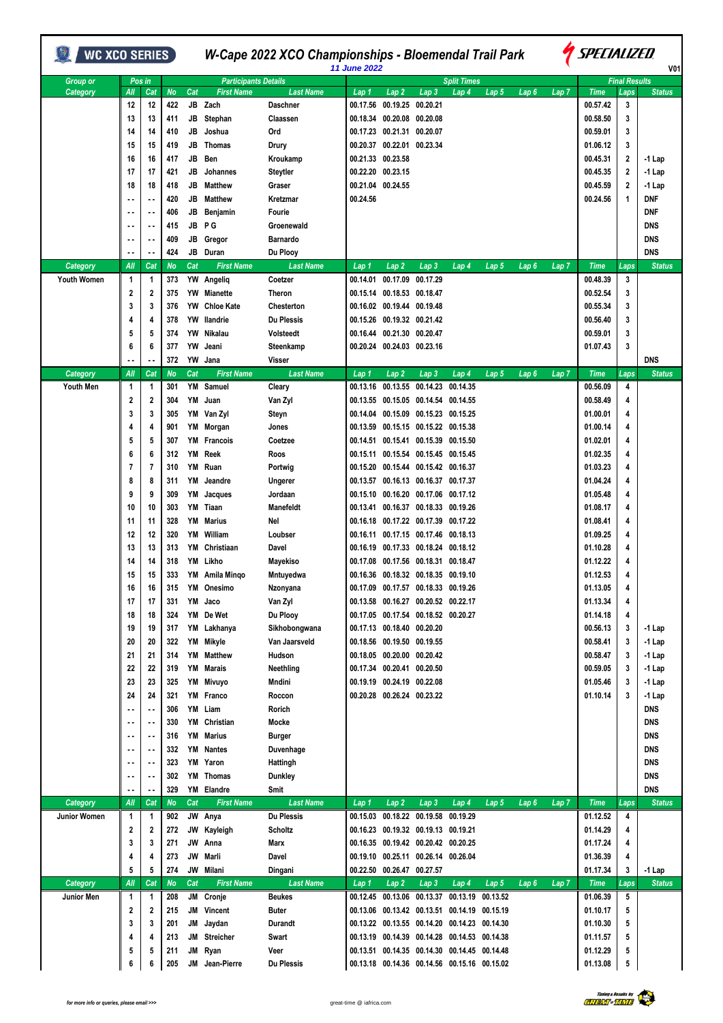| WC XCO SERIES      |              |                            |            |          |                             |                           | W-Cape 2022 XCO Championships - Bloemendal Trail Park<br>11 June 2022 |                                        |                            |                                              |       |       |       | <i><b>Y</b> SPECIALIZED</i><br>V01 |                         |                        |  |  |
|--------------------|--------------|----------------------------|------------|----------|-----------------------------|---------------------------|-----------------------------------------------------------------------|----------------------------------------|----------------------------|----------------------------------------------|-------|-------|-------|------------------------------------|-------------------------|------------------------|--|--|
| Group or           |              | Pos in                     |            |          | <b>Participants Details</b> |                           |                                                                       |                                        |                            | <b>Split Times</b>                           |       |       |       |                                    | <b>Final Results</b>    |                        |  |  |
| Category           | All          | Cat                        | No         | Cat      | <b>First Name</b>           | <b>Last Name</b>          | Lap 1                                                                 | Lap 2                                  | Lap <sub>3</sub>           | Lap 4                                        | Lap 5 | Lap6  | Lap 7 | <b>Time</b>                        | Laps                    | <b>Status</b>          |  |  |
|                    | 12           | 12                         | 422        |          | JB Zach                     | Daschner                  | 00.17.56                                                              | 00.19.25 00.20.21                      |                            |                                              |       |       |       | 00.57.42                           | 3                       |                        |  |  |
|                    | 13           | 13                         | 411        | JB       | Stephan                     | Claassen                  | 00.18.34                                                              | 00.20.08 00.20.08                      |                            |                                              |       |       |       | 00.58.50                           | 3                       |                        |  |  |
|                    | 14           | 14                         | 410        | JB       | Joshua                      | Ord                       |                                                                       | 00.17.23 00.21.31 00.20.07             |                            |                                              |       |       |       | 00.59.01                           | 3                       |                        |  |  |
|                    | 15           | 15                         | 419        | JB       | Thomas                      | Drury                     |                                                                       | 00.20.37 00.22.01 00.23.34             |                            |                                              |       |       |       | 01.06.12                           | 3                       |                        |  |  |
|                    | 16           | 16                         | 417        | JB       | Ben                         | Kroukamp                  |                                                                       | 00.21.33 00.23.58<br>00.22.20 00.23.15 |                            |                                              |       |       |       | 00.45.31<br>00.45.35               | $\overline{\mathbf{2}}$ | -1 Lap                 |  |  |
|                    | 17<br>18     | 17<br>18                   | 421<br>418 | JB<br>JB | Johannes<br><b>Matthew</b>  | <b>Steytler</b><br>Graser |                                                                       | 00.21.04 00.24.55                      |                            |                                              |       |       |       | 00.45.59                           | 2<br>$\mathbf{2}$       | -1 Lap<br>-1 Lap       |  |  |
|                    |              | ٠.                         | 420        | JB       | <b>Matthew</b>              | Kretzmar                  | 00.24.56                                                              |                                        |                            |                                              |       |       |       | 00.24.56                           | 1                       | DNF                    |  |  |
|                    |              |                            | 406        | JB       | Benjamin                    | Fourie                    |                                                                       |                                        |                            |                                              |       |       |       |                                    |                         | <b>DNF</b>             |  |  |
|                    |              |                            | 415        | JB       | ΡG                          | Groenewald                |                                                                       |                                        |                            |                                              |       |       |       |                                    |                         | <b>DNS</b>             |  |  |
|                    |              | $\sim$ $\sim$              | 409        | JB       | Gregor                      | Barnardo                  |                                                                       |                                        |                            |                                              |       |       |       |                                    |                         | DNS                    |  |  |
|                    |              |                            | 424        |          | JB Duran                    | Du Plooy                  |                                                                       |                                        |                            |                                              |       |       |       |                                    |                         | <b>DNS</b>             |  |  |
| Category           | All          | Cat                        | No         | Cat      | <b>First Name</b>           | <b>Last Name</b>          | Lap 1                                                                 | Lap 2                                  | Lap 3                      | Lap 4                                        | Lap 5 | Lap 6 | Lap 7 | <b>Time</b>                        | Laps                    | <b>Status</b>          |  |  |
| <b>Youth Women</b> | $\mathbf{1}$ | 1                          | 373        |          | YW Angeliq                  | Coetzer                   | 00.14.01                                                              | 00.17.09                               | 00.17.29                   |                                              |       |       |       | 00.48.39                           | 3                       |                        |  |  |
|                    | 2            | 2                          | 375        |          | <b>YW</b> Mianette          | Theron                    |                                                                       | 00.15.14 00.18.53 00.18.47             |                            |                                              |       |       |       | 00.52.54                           | 3                       |                        |  |  |
|                    | 3            | 3                          | 376        | YW       | <b>Chloe Kate</b>           | <b>Chesterton</b>         |                                                                       | 00.16.02 00.19.44 00.19.48             |                            |                                              |       |       |       | 00.55.34                           | 3                       |                        |  |  |
|                    | 4            | 4                          | 378        | YW       | llandrie                    | <b>Du Plessis</b>         |                                                                       | 00.15.26 00.19.32 00.21.42             |                            |                                              |       |       |       | 00.56.40                           | 3                       |                        |  |  |
|                    | 5            | 5                          | 374        | YW       | Nikalau                     | Volsteedt                 |                                                                       | 00.16.44 00.21.30 00.20.47             |                            |                                              |       |       |       | 00.59.01                           | 3                       |                        |  |  |
|                    | 6            | 6                          | 377        | YW       | Jeani                       | Steenkamp                 |                                                                       | 00.20.24 00.24.03 00.23.16             |                            |                                              |       |       |       | 01.07.43                           | 3                       |                        |  |  |
|                    |              |                            | 372        |          | YW Jana                     | Visser                    |                                                                       |                                        |                            |                                              |       |       |       |                                    |                         | <b>DNS</b>             |  |  |
| Category           | All          | Cat                        | No         | Cat      | <b>First Name</b>           | <b>Last Name</b>          | Lap 1                                                                 | Lap <sub>2</sub>                       | Lap <sub>3</sub>           | Lap 4                                        | Lap 5 | Lap 6 | Lap 7 | <b>Time</b>                        | Laps                    | <b>Status</b>          |  |  |
| <b>Youth Men</b>   | $\mathbf{1}$ | 1                          | 301        | ΥM       | Samuel                      | Cleary                    | 00.13.16                                                              | 00.13.55                               | 00.14.23                   | 00.14.35                                     |       |       |       | 00.56.09                           | 4                       |                        |  |  |
|                    | 2            | 2                          | 304        | YM       | Juan                        | Van Zyl                   | 00.13.55                                                              |                                        | 00.15.05 00.14.54 00.14.55 |                                              |       |       |       | 00.58.49                           | 4                       |                        |  |  |
|                    | 3            | 3                          | 305        |          | YM Van Zyl                  | Steyn                     | 00.14.04                                                              |                                        | 00.15.09 00.15.23 00.15.25 |                                              |       |       |       | 01.00.01                           | 4                       |                        |  |  |
|                    | 4            | 4                          | 901        | YM       | Morgan                      | Jones                     | 00.13.59                                                              |                                        | 00.15.15 00.15.22 00.15.38 |                                              |       |       |       | 01.00.14                           | 4                       |                        |  |  |
|                    | 5<br>6       | 5<br>6                     | 307<br>312 | YM       | <b>YM</b> Francois<br>Reek  | Coetzee<br>Roos           | 00.14.51                                                              | 00.15.11 00.15.54 00.15.45 00.15.45    | 00.15.41 00.15.39 00.15.50 |                                              |       |       |       | 01.02.01<br>01.02.35               | 4<br>4                  |                        |  |  |
|                    | 7            | 7                          | 310        | ΥM       | Ruan                        | Portwig                   | 00.15.20                                                              |                                        | 00.15.44 00.15.42 00.16.37 |                                              |       |       |       | 01.03.23                           | 4                       |                        |  |  |
|                    | 8            | 8                          | 311        | ΥM       | Jeandre                     | Ungerer                   |                                                                       | 00.13.57 00.16.13 00.16.37 00.17.37    |                            |                                              |       |       |       | 01.04.24                           | 4                       |                        |  |  |
|                    | 9            | 9                          | 309        | ΥM       | Jacques                     | Jordaan                   | 00.15.10                                                              |                                        | 00.16.20 00.17.06 00.17.12 |                                              |       |       |       | 01.05.48                           | 4                       |                        |  |  |
|                    | 10           | 10                         | 303        | YM       | Tiaan                       | <b>Manefeldt</b>          | 00.13.41                                                              |                                        | 00.16.37 00.18.33 00.19.26 |                                              |       |       |       | 01.08.17                           | 4                       |                        |  |  |
|                    | 11           | 11                         | 328        | YM       | <b>Marius</b>               | Nel                       |                                                                       | 00.16.18 00.17.22 00.17.39 00.17.22    |                            |                                              |       |       |       | 01.08.41                           | 4                       |                        |  |  |
|                    | 12           | 12                         | 320        | YM       | William                     | Loubser                   |                                                                       | 00.16.11 00.17.15 00.17.46 00.18.13    |                            |                                              |       |       |       | 01.09.25                           | 4                       |                        |  |  |
|                    | 13           | 13                         | 313        | ΥM       | Christiaan                  | Davel                     |                                                                       | 00.16.19 00.17.33 00.18.24 00.18.12    |                            |                                              |       |       |       | 01.10.28                           | 4                       |                        |  |  |
|                    | 14           | 14                         | 318        | YM       | Likho                       | Mayekiso                  | 00.17.08                                                              |                                        | 00.17.56 00.18.31 00.18.47 |                                              |       |       |       | 01.12.22                           | 4                       |                        |  |  |
|                    | 15           | 15                         | 333        |          | YM Amila Mingo              | Mntuyedwa                 |                                                                       | 00.16.36 00.18.32 00.18.35 00.19.10    |                            |                                              |       |       |       | 01.12.53                           | 4                       |                        |  |  |
|                    | 16           | 16                         | 315        | YM       | Onesimo                     | Nzonyana                  |                                                                       | 00.17.09 00.17.57 00.18.33 00.19.26    |                            |                                              |       |       |       | 01.13.05                           | 4                       |                        |  |  |
|                    | 17           | 17                         | 331        | YM       | Jaco                        | Van Zyl                   |                                                                       | 00.13.58 00.16.27 00.20.52 00.22.17    |                            |                                              |       |       |       | 01.13.34                           | 4                       |                        |  |  |
|                    | 18           | 18                         | 324        |          | YM De Wet                   | Du Plooy                  |                                                                       | 00.17.05 00.17.54 00.18.52 00.20.27    |                            |                                              |       |       |       | 01.14.18                           | 4                       |                        |  |  |
|                    | 19           | 19                         | 317        |          | YM Lakhanya                 | Sikhobongwana             |                                                                       | 00.17.13 00.18.40 00.20.20             |                            |                                              |       |       |       | 00.56.13                           | 3                       | $-1$ Lap               |  |  |
|                    | 20           | 20                         | 322        |          | YM Mikyle                   | Van Jaarsveld             |                                                                       | 00.18.56 00.19.50 00.19.55             |                            |                                              |       |       |       | 00.58.41                           | 3                       | -1 Lap                 |  |  |
|                    | 21           | 21                         | 314        | YM       | Matthew                     | Hudson                    |                                                                       | 00.18.05 00.20.00 00.20.42             |                            |                                              |       |       |       | 00.58.47                           | 3                       | -1 Lap                 |  |  |
|                    | 22           | 22                         | 319        |          | <b>YM</b> Marais            | Neethling                 |                                                                       | 00.17.34 00.20.41 00.20.50             |                            |                                              |       |       |       | 00.59.05                           | 3                       | $-1$ Lap               |  |  |
|                    | 23           | 23                         | 325        | YM       | Mivuyo                      | Mndini                    |                                                                       | 00.19.19 00.24.19 00.22.08             |                            |                                              |       |       |       | 01.05.46                           | 3                       | $-1$ Lap               |  |  |
|                    | 24           | 24<br>$\ddot{\phantom{1}}$ | 321<br>306 |          | YM Franco<br>YM Liam        | Roccon<br>Rorich          |                                                                       | 00.20.28 00.26.24 00.23.22             |                            |                                              |       |       |       | 01.10.14                           | 3                       | $-1$ Lap<br><b>DNS</b> |  |  |
|                    |              | ٠.                         | 330        | YM       | Christian                   | Mocke                     |                                                                       |                                        |                            |                                              |       |       |       |                                    |                         | <b>DNS</b>             |  |  |
|                    |              | ٠.                         | 316        | YM       | Marius                      | <b>Burger</b>             |                                                                       |                                        |                            |                                              |       |       |       |                                    |                         | <b>DNS</b>             |  |  |
|                    |              | $\sim$ $\sim$              | 332        |          | YM Nantes                   | Duvenhage                 |                                                                       |                                        |                            |                                              |       |       |       |                                    |                         | <b>DNS</b>             |  |  |
|                    |              | $\ddot{\phantom{0}}$       | 323        |          | YM Yaron                    | Hattingh                  |                                                                       |                                        |                            |                                              |       |       |       |                                    |                         | <b>DNS</b>             |  |  |
|                    |              | ٠.                         | 302        |          | YM Thomas                   | Dunkley                   |                                                                       |                                        |                            |                                              |       |       |       |                                    |                         | <b>DNS</b>             |  |  |
|                    |              | ٠.                         | 329        |          | YM Elandre                  | Smit                      |                                                                       |                                        |                            |                                              |       |       |       |                                    |                         | <b>DNS</b>             |  |  |
| Category           | All          | Cat                        | No         | Cat      | <b>First Name</b>           | <b>Last Name</b>          | Lap 1                                                                 | Lap <sub>2</sub>                       | Lap <sub>3</sub>           | Lap 4                                        | Lap 5 | Lap 6 | Lap 7 | <b>Time</b>                        | Laps                    | <b>Status</b>          |  |  |
| Junior Women       | $\mathbf{1}$ | 1                          | 902        |          | JW Anya                     | <b>Du Plessis</b>         | 00.15.03                                                              |                                        | 00.18.22 00.19.58 00.19.29 |                                              |       |       |       | 01.12.52                           | 4                       |                        |  |  |
|                    | 2            | 2                          | 272        | JW       | Kayleigh                    | Scholtz                   |                                                                       | 00.16.23 00.19.32 00.19.13 00.19.21    |                            |                                              |       |       |       | 01.14.29                           | 4                       |                        |  |  |
|                    | 3            | 3                          | 271        | JW       | Anna                        | Marx                      |                                                                       | 00.16.35 00.19.42 00.20.42 00.20.25    |                            |                                              |       |       |       | 01.17.24                           | 4                       |                        |  |  |
|                    | 4            | 4                          | 273        |          | JW Marli                    | Davel                     |                                                                       | 00.19.10 00.25.11 00.26.14 00.26.04    |                            |                                              |       |       |       | 01.36.39                           | 4                       |                        |  |  |
|                    | 5            | 5                          | 274        |          | JW Milani                   | Dingani                   |                                                                       | 00.22.50 00.26.47 00.27.57             |                            |                                              |       |       |       | 01.17.34                           | 3                       | -1 Lap                 |  |  |
| Category           | All          | Cat                        | No         | Cat      | <b>First Name</b>           | <b>Last Name</b>          | Lap 1                                                                 | Lap 2                                  | Lap 3                      | Lap 4                                        | Lap 5 | Lap6  | Lap 7 | <b>Time</b>                        | Laps                    | <b>Status</b>          |  |  |
| Junior Men         | $\mathbf{1}$ | 1                          | 208        |          | JM Cronje                   | <b>Beukes</b>             |                                                                       |                                        |                            | 00.12.45 00.13.06 00.13.37 00.13.19 00.13.52 |       |       |       | 01.06.39                           | 5                       |                        |  |  |
|                    | 2            | 2                          | 215        |          | JM Vincent                  | <b>Buter</b>              |                                                                       |                                        |                            | 00.13.06 00.13.42 00.13.51 00.14.19 00.15.19 |       |       |       | 01.10.17                           | 5                       |                        |  |  |
|                    | 3            | 3                          | 201        | JM       | Jaydan                      | Durandt                   |                                                                       |                                        |                            | 00.13.22 00.13.55 00.14.20 00.14.23 00.14.30 |       |       |       | 01.10.30                           | 5                       |                        |  |  |
|                    | 4            | 4                          | 213        | JM       | Streicher                   | Swart                     |                                                                       |                                        |                            | 00.13.19 00.14.39 00.14.28 00.14.53 00.14.38 |       |       |       | 01.11.57                           | 5                       |                        |  |  |
|                    | 5<br>6       | 5<br>6                     | 211<br>205 |          | JM Ryan<br>JM Jean-Pierre   | Veer<br><b>Du Plessis</b> |                                                                       |                                        |                            | 00.13.51 00.14.35 00.14.30 00.14.45 00.14.48 |       |       |       | 01.12.29<br>01.13.08               | 5<br>5                  |                        |  |  |
|                    |              |                            |            |          |                             |                           |                                                                       |                                        |                            | 00.13.18 00.14.36 00.14.56 00.15.16 00.15.02 |       |       |       |                                    |                         |                        |  |  |

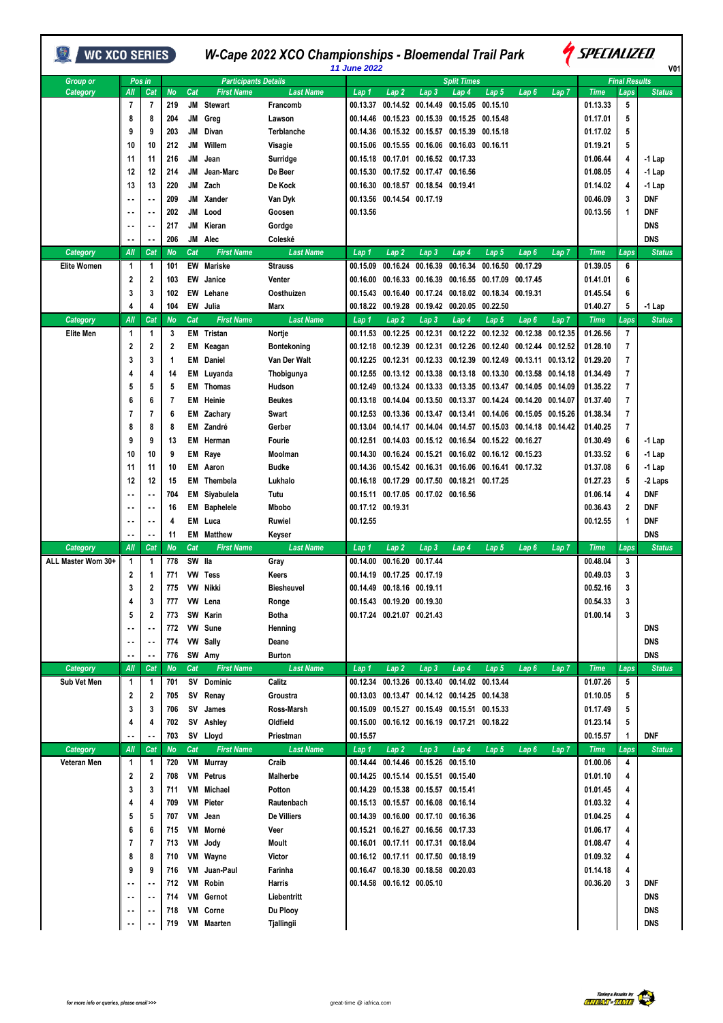| <b>WC XCO SERIES</b> |        |                          |           |     |                             | W-Cape 2022 XCO Championships - Bloemendal Trail Park | 11 June 2022 |                                     |                            |                                              | <i><b>SPECIALIZED</b></i><br>V01 |                   |                  |             |                      |               |
|----------------------|--------|--------------------------|-----------|-----|-----------------------------|-------------------------------------------------------|--------------|-------------------------------------|----------------------------|----------------------------------------------|----------------------------------|-------------------|------------------|-------------|----------------------|---------------|
| <b>Group or</b>      | Pos in |                          |           |     | <b>Participants Details</b> |                                                       |              |                                     |                            | <b>Split Times</b>                           |                                  |                   |                  |             | <b>Final Results</b> |               |
| Category             | All    | Cat                      | <b>No</b> | Cat | <b>First Name</b>           | <b>Last Name</b>                                      | Lap 1        | Lap <sub>2</sub>                    | Lap 3                      | Lap 4                                        | Lap 5                            | Lap 6             | Lap 7            | <b>Time</b> | Laps                 | <b>Status</b> |
|                      | 7      | 7                        | 219       | JM  | <b>Stewart</b>              | Francomb                                              | 00.13.37     | 00.14.52                            | 00.14.49                   | 00.15.05                                     | 00.15.10                         |                   |                  | 01.13.33    | 5                    |               |
|                      | 8      | 8                        | 204       | JM  | Greg                        | Lawson                                                | 00.14.46     |                                     |                            | 00.15.23 00.15.39 00.15.25 00.15.48          |                                  |                   |                  | 01.17.01    | 5                    |               |
|                      | 9      | 9                        | 203       | JM  | Divan                       | <b>Terblanche</b>                                     | 00.14.36     |                                     | 00.15.32 00.15.57          | 00.15.39                                     | 00.15.18                         |                   |                  | 01.17.02    | 5                    |               |
|                      | 10     | 10                       | 212       | JM  | Willem                      | Visagie                                               | 00.15.06     |                                     |                            | 00.15.55 00.16.06 00.16.03                   | 00.16.11                         |                   |                  | 01.19.21    | 5                    |               |
|                      | 11     | 11                       | 216       | JM  | Jean                        | Surridge                                              | 00.15.18     | 00.17.01                            |                            | 00.16.52 00.17.33                            |                                  |                   |                  | 01.06.44    | 4                    | $-1$ Lap      |
|                      | 12     | 12                       | 214       | JМ  | Jean-Marc                   | De Beer                                               | 00.15.30     |                                     | 00.17.52 00.17.47 00.16.56 |                                              |                                  |                   |                  | 01.08.05    | 4                    | $-1$ Lap      |
|                      | 13     | 13                       | 220       | JM  | Zach                        | De Kock                                               | 00.16.30     |                                     | 00.18.57 00.18.54 00.19.41 |                                              |                                  |                   |                  | 01.14.02    | 4                    | $-1$ Lap      |
|                      |        | $\overline{\phantom{a}}$ | 209       | JM  | Xander                      | Van Dyk                                               | 00.13.56     |                                     | 00.14.54 00.17.19          |                                              |                                  |                   |                  | 00.46.09    | 3                    | DNF           |
|                      |        | ٠.                       | 202       | JM  | Lood                        | Goosen                                                | 00.13.56     |                                     |                            |                                              |                                  |                   |                  | 00.13.56    | 1                    | DNF           |
|                      |        |                          | 217       | JM  | Kieran                      | Gordge                                                |              |                                     |                            |                                              |                                  |                   |                  |             |                      | <b>DNS</b>    |
|                      |        |                          | 206       | JM  | Alec                        | Coleské                                               |              |                                     |                            |                                              |                                  |                   |                  |             |                      | <b>DNS</b>    |
| Category             | All    | Cat                      | <b>No</b> | Cat | <b>First Name</b>           | <b>Last Name</b>                                      | Lap 1        | Lap <sub>2</sub>                    | Lap 3                      | Lap 4                                        | Lap 5                            | Lap 6             | Lap 7            | <b>Time</b> | Laps                 | <b>Status</b> |
| <b>Elite Women</b>   | 1      | 1                        | 101       | EW  | <b>Mariske</b>              | <b>Strauss</b>                                        | 00.15.09     | 00.16.24                            | 00.16.39                   | 00.16.34                                     | 00.16.50                         | 00.17.29          |                  | 01.39.05    | 6                    |               |
|                      | 2      | 2                        | 103       | EW  | Janice                      | Venter                                                | 00.16.00     | 00.16.33                            | 00.16.39                   | 00.16.55                                     | 00.17.09                         | 00.17.45          |                  | 01.41.01    | 6                    |               |
|                      |        |                          |           |     |                             |                                                       |              |                                     |                            |                                              |                                  |                   |                  |             |                      |               |
|                      | 3      | 3                        | 102       | EW  | Lehane                      | Oosthuizen                                            | 00.15.43     | 00.16.40                            |                            | 00.17.24 00.18.02 00.18.34                   |                                  | 00.19.31          |                  | 01.45.54    | 6                    |               |
|                      | 4      | 4                        | 104       |     | EW Julia                    | Marx                                                  | 00.18.22     | 00.19.28                            | 00.19.42                   | 00.20.05                                     | 00.22.50                         |                   |                  | 01.40.27    | 5                    | -1 Lap        |
| Category             | All    | Cat                      | No        | Cat | <b>First Name</b>           | <b>Last Name</b>                                      | Lap 1        | Lap <sub>2</sub>                    | Lap 3                      | Lap 4                                        | Lap 5                            | Lap 6             | Lap <sub>7</sub> | <b>Time</b> | Laps                 | <b>Status</b> |
| <b>Elite Men</b>     | 1      | 1                        | 3         |     | <b>EM</b> Tristan           | Nortje                                                | 00.11.53     | 00.12.25                            | 00.12.31                   | 00.12.22                                     | 00.12.32                         | 00.12.38          | 00.12.35         | 01.26.56    | 7                    |               |
|                      | 2      | 2                        | 2         | EM  | Keagan                      | Bontekoning                                           | 00.12.18     | 00.12.39                            | 00.12.31                   | 00.12.26                                     | 00.12.40                         | 00.12.44 00.12.52 |                  | 01.28.10    | 7                    |               |
|                      | 3      | 3                        | 1         | EM  | Daniel                      | Van Der Walt                                          | 00.12.25     | 00.12.31                            | 00.12.33                   | 00.12.39                                     | 00.12.49                         | 00.13.11 00.13.12 |                  | 01.29.20    | 7                    |               |
|                      |        | 4                        | 14        | EM  | Luyanda                     | Thobigunya                                            | 00.12.55     |                                     |                            | 00.13.12 00.13.38 00.13.18 00.13.30          |                                  | 00.13.58          | 00.14.18         | 01.34.49    | 7                    |               |
|                      | 5      | 5                        | 5         | EM  | Thomas                      | Hudson                                                | 00.12.49     |                                     |                            | 00.13.24 00.13.33 00.13.35                   | 00.13.47                         | 00.14.05          | 00.14.09         | 01.35.22    | 7                    |               |
|                      | 6      | 6                        | 7         | EM  | Heinie                      | <b>Beukes</b>                                         | 00.13.18     | 00.14.04                            | 00.13.50                   | 00.13.37                                     | 00.14.24                         | 00.14.20          | 00.14.07         | 01.37.40    | 7                    |               |
|                      | 7      | 7                        | 6         |     | <b>EM</b> Zachary           | Swart                                                 | 00.12.53     |                                     | 00.13.36 00.13.47          | 00.13.41                                     | 00.14.06                         | 00.15.05 00.15.26 |                  | 01.38.34    | 7                    |               |
|                      | 8      | 8                        | 8         |     | EM Zandré                   | Gerber                                                | 00.13.04     | 00.14.17                            | 00.14.04                   | 00.14.57                                     | 00.15.03                         | 00.14.18 00.14.42 |                  | 01.40.25    | 7                    |               |
|                      | 9      | 9                        | 13        | EM  | Herman                      | Fourie                                                | 00.12.51     |                                     |                            | 00.14.03 00.15.12 00.16.54                   | 00.15.22                         | 00.16.27          |                  | 01.30.49    | 6                    | $-1$ Lap      |
|                      | 10     | 10                       | 9         | EM  | Raye                        | Moolman                                               | 00.14.30     |                                     |                            | 00.16.24 00.15.21 00.16.02 00.16.12 00.15.23 |                                  |                   |                  | 01.33.52    | 6                    | $-1$ Lap      |
|                      | 11     | 11                       | 10        | EM  | Aaron                       | <b>Budke</b>                                          | 00.14.36     |                                     |                            | 00.15.42 00.16.31 00.16.06                   | 00.16.41                         | 00.17.32          |                  | 01.37.08    | 6                    | $-1$ Lap      |
|                      | 12     | 12                       | 15        | EM  | Thembela                    | Lukhalo                                               | 00.16.18     | 00.17.29                            |                            | 00.17.50 00.18.21                            | 00.17.25                         |                   |                  | 01.27.23    | 5                    | -2 Laps       |
|                      |        |                          | 704       |     | EM Siyabulela               | Tutu                                                  |              | 00.15.11 00.17.05 00.17.02 00.16.56 |                            |                                              |                                  |                   |                  | 01.06.14    | 4                    | DNF           |
|                      |        |                          | 16        | EM  | <b>Baphelele</b>            | Mbobo                                                 |              | 00.17.12 00.19.31                   |                            |                                              |                                  |                   |                  | 00.36.43    | $\mathbf 2$          | DNF           |
|                      |        |                          | 4         | EM  | Luca                        | Ruwiel                                                | 00.12.55     |                                     |                            |                                              |                                  |                   |                  | 00.12.55    | 1                    | <b>DNF</b>    |
|                      |        | ٠.                       | 11        | EM  | <b>Matthew</b>              | Keyser                                                |              |                                     |                            |                                              |                                  |                   |                  |             |                      | <b>DNS</b>    |
| Category             | All    | Cat                      | <b>No</b> | Cat | <b>First Name</b>           | <b>Last Name</b>                                      | Lap 1        | $Lap$ 2                             | Lap 3                      | Lap 4                                        | Lap 5                            | Lap 6             | Lap 7            | <b>Time</b> | Laps                 | <b>Status</b> |
| ALL Master Wom 30+   | 1      | 1                        | 778       | SW  | lla                         | Gray                                                  | 00.14.00     | 00.16.20                            | 00.17.44                   |                                              |                                  |                   |                  | 00.48.04    | 3                    |               |
|                      | 2      | 1                        | 771       |     | VW Tess                     | Keers                                                 |              | 00.14.19 00.17.25 00.17.19          |                            |                                              |                                  |                   |                  | 00.49.03    | 3                    |               |
|                      | 3      | 2                        | 775       |     | VW Nikki                    | Biesheuvel                                            |              | 00.14.49 00.18.16 00.19.11          |                            |                                              |                                  |                   |                  | 00.52.16    | 3                    |               |
|                      | 4      | 3                        | 777       |     | VW Lena                     | Ronge                                                 |              | 00.15.43 00.19.20 00.19.30          |                            |                                              |                                  |                   |                  | 00.54.33    | 3                    |               |
|                      | 5      | 2                        | 773       |     | SW Karin                    | Botha                                                 |              | 00.17.24 00.21.07 00.21.43          |                            |                                              |                                  |                   |                  | 01.00.14    | 3                    |               |
|                      |        | ٠.                       | 772       |     | VW Sune                     | Henning                                               |              |                                     |                            |                                              |                                  |                   |                  |             |                      | <b>DNS</b>    |
|                      |        | ٠.                       | 774       |     | VW Sally                    | Deane                                                 |              |                                     |                            |                                              |                                  |                   |                  |             |                      | <b>DNS</b>    |
|                      |        |                          | 776       |     | SW Amy                      | <b>Burton</b>                                         |              |                                     |                            |                                              |                                  |                   |                  |             |                      | <b>DNS</b>    |
| Category             | All    | Cat                      | <b>No</b> | Cat | <b>First Name</b>           | <b>Last Name</b>                                      | Lap 1        | Lap <sub>2</sub>                    | Lap 3                      | Lap 4                                        | Lap 5                            | Lap 6             | Lap 7            | <b>Time</b> | Laps                 | <b>Status</b> |
| Sub Vet Men          | 1      | 1                        | 701       |     | SV Dominic                  | Calitz                                                |              |                                     |                            | 00.12.34 00.13.26 00.13.40 00.14.02 00.13.44 |                                  |                   |                  | 01.07.26    | 5                    |               |
|                      | 2      | 2                        | 705       |     | SV Renay                    | Groustra                                              |              |                                     |                            | 00.13.03 00.13.47 00.14.12 00.14.25 00.14.38 |                                  |                   |                  | 01.10.05    | 5                    |               |
|                      | 3      | 3                        | 706       |     | SV James                    | Ross-Marsh                                            |              |                                     |                            | 00.15.09 00.15.27 00.15.49 00.15.51 00.15.33 |                                  |                   |                  | 01.17.49    | 5                    |               |
|                      | 4      | 4                        | 702       |     | SV Ashley                   | Oldfield                                              |              |                                     |                            | 00.15.00 00.16.12 00.16.19 00.17.21 00.18.22 |                                  |                   |                  | 01.23.14    | 5                    |               |
|                      |        |                          | 703       |     | SV Lloyd                    | Priestman                                             | 00.15.57     |                                     |                            |                                              |                                  |                   |                  | 00.15.57    | 1                    | <b>DNF</b>    |
| <b>Category</b>      | All    | Cat                      | <b>No</b> | Cat | <b>First Name</b>           | <b>Last Name</b>                                      | Lap 1        | Lap2                                | Lap 3                      | Lap 4                                        | Lap 5                            | Lap6              | Lap 7            | <b>Time</b> | Laps                 | <b>Status</b> |
| Veteran Men          | 1      | 1                        | 720       |     | VM Murray                   | Craib                                                 |              | 00.14.44 00.14.46 00.15.26 00.15.10 |                            |                                              |                                  |                   |                  | 01.00.06    | 4                    |               |
|                      | 2      | 2                        | 708       | VM  | Petrus                      | Malherbe                                              |              | 00.14.25 00.15.14 00.15.51 00.15.40 |                            |                                              |                                  |                   |                  | 01.01.10    | 4                    |               |
|                      | 3      | 3                        | 711       | VM  | Michael                     | Potton                                                |              | 00.14.29 00.15.38 00.15.57 00.15.41 |                            |                                              |                                  |                   |                  | 01.01.45    | 4                    |               |
|                      | 4      | 4                        | 709       | VM  | Pieter                      | Rautenbach                                            |              | 00.15.13 00.15.57 00.16.08 00.16.14 |                            |                                              |                                  |                   |                  | 01.03.32    | 4                    |               |
|                      | 5      | 5                        | 707       | VM  | Jean                        | De Villiers                                           |              | 00.14.39 00.16.00 00.17.10 00.16.36 |                            |                                              |                                  |                   |                  | 01.04.25    | 4                    |               |
|                      | 6      | 6                        | 715       |     | VM Morné                    | Veer                                                  |              | 00.15.21 00.16.27 00.16.56 00.17.33 |                            |                                              |                                  |                   |                  | 01.06.17    | 4                    |               |
|                      | 7      | 7                        | 713       | VM  | Jody                        | Moult                                                 |              | 00.16.01 00.17.11 00.17.31 00.18.04 |                            |                                              |                                  |                   |                  | 01.08.47    | 4                    |               |
|                      | 8      | 8                        | 710       |     | VM Wayne                    | Victor                                                |              | 00.16.12 00.17.11 00.17.50 00.18.19 |                            |                                              |                                  |                   |                  | 01.09.32    | 4                    |               |
|                      | 9      | 9                        | 716       | VM  | Juan-Paul                   | Farinha                                               |              | 00.16.47 00.18.30 00.18.58 00.20.03 |                            |                                              |                                  |                   |                  | 01.14.18    | 4                    |               |
|                      |        | ٠.                       | 712       | VM  | Robin                       | Harris                                                |              | 00.14.58 00.16.12 00.05.10          |                            |                                              |                                  |                   |                  | 00.36.20    | 3                    | <b>DNF</b>    |
|                      |        |                          | 714       | VM  | Gernot                      | Liebentritt                                           |              |                                     |                            |                                              |                                  |                   |                  |             |                      | <b>DNS</b>    |
|                      |        |                          | 718       |     | VM Corne                    | Du Plooy                                              |              |                                     |                            |                                              |                                  |                   |                  |             |                      | DNS           |
|                      |        |                          |           |     |                             |                                                       |              |                                     |                            |                                              |                                  |                   |                  |             |                      | DNS           |
|                      |        |                          | 719       |     | VM Maarten                  | Tjallingii                                            |              |                                     |                            |                                              |                                  |                   |                  |             |                      |               |